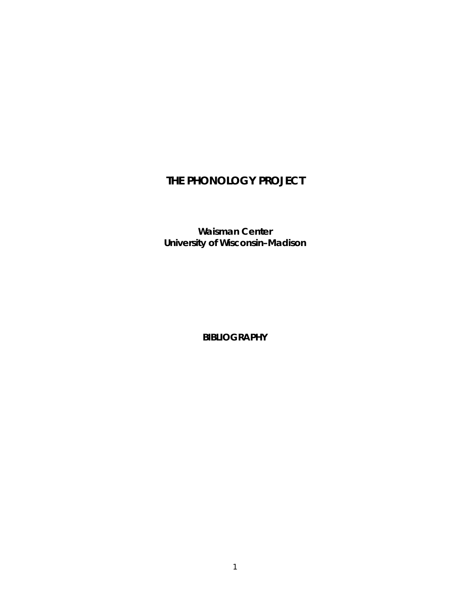# **THE PHONOLOGY PROJECT**

*Waisman Center University of Wisconsin***–***Madison* 

**BIBLIOGRAPHY**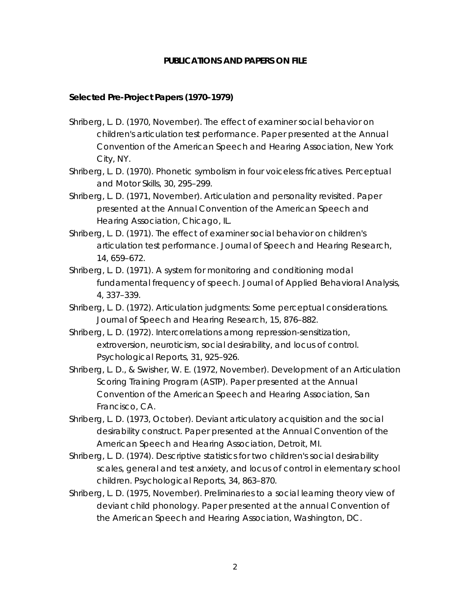#### **PUBLICATIONS AND PAPERS ON FILE**

#### *Selected Pre-Project Papers (1970–1979)*

- Shriberg, L. D. (1970, November). *The effect of examiner social behavior on children's articulation test performance*. Paper presented at the Annual Convention of the American Speech and Hearing Association, New York City, NY.
- Shriberg, L. D. (1970). Phonetic symbolism in four voiceless fricatives. *Perceptual and Motor Skills, 30*, 295–299.
- Shriberg, L. D. (1971, November). *Articulation and personality revisited*. Paper presented at the Annual Convention of the American Speech and Hearing Association, Chicago, IL.
- Shriberg, L. D. (1971). The effect of examiner social behavior on children's articulation test performance. *Journal of Speech and Hearing Research, 14*, 659–672.
- Shriberg, L. D. (1971). A system for monitoring and conditioning modal fundamental frequency of speech. *Journal of Applied Behavioral Analysis, 4*, 337–339.
- Shriberg, L. D. (1972). Articulation judgments: Some perceptual considerations. *Journal of Speech and Hearing Research, 15*, 876–882.
- Shriberg, L. D. (1972). Intercorrelations among repression-sensitization, extroversion, neuroticism, social desirability, and locus of control. *Psychological Reports, 31*, 925–926.
- Shriberg, L. D., & Swisher, W. E. (1972, November). *Development of an Articulation Scoring Training Program (ASTP)*. Paper presented at the Annual Convention of the American Speech and Hearing Association, San Francisco, CA.
- Shriberg, L. D. (1973, October). *Deviant articulatory acquisition and the social desirability construct*. Paper presented at the Annual Convention of the American Speech and Hearing Association, Detroit, MI.
- Shriberg, L. D. (1974). Descriptive statistics for two children's social desirability scales, general and test anxiety, and locus of control in elementary school children. *Psychological Reports, 34*, 863–870.
- Shriberg, L. D. (1975, November). *Preliminaries to a social learning theory view of deviant child phonology*. Paper presented at the annual Convention of the American Speech and Hearing Association, Washington, DC.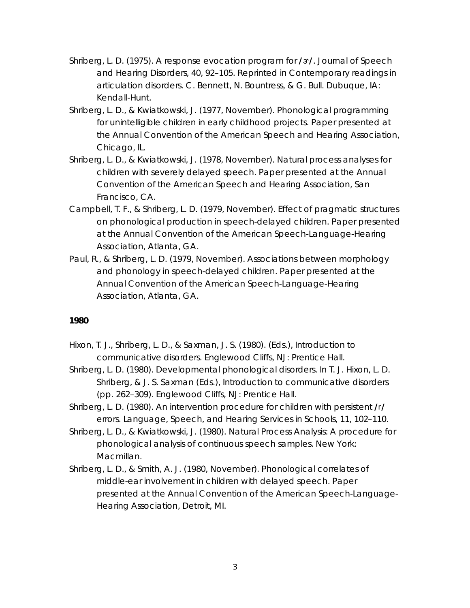- Shriberg, L. D. (1975). A response evocation program for **/6/**. *Journal of Speech and Hearing Disorders, 40*, 92–105. Reprinted in *Contemporary readings in articulation disorders*. C. Bennett, N. Bountress, & G. Bull. Dubuque, IA: Kendall-Hunt.
- Shriberg, L. D., & Kwiatkowski, J. (1977, November). *Phonological programming for unintelligible children in early childhood projects*. Paper presented at the Annual Convention of the American Speech and Hearing Association, Chicago, IL.
- Shriberg, L. D., & Kwiatkowski, J. (1978, November). *Natural process analyses for children with severely delayed speech*. Paper presented at the Annual Convention of the American Speech and Hearing Association, San Francisco, CA.
- Campbell, T. F., & Shriberg, L. D. (1979, November). *Effect of pragmatic structures on phonological production in speech-delayed children*. Paper presented at the Annual Convention of the American Speech-Language-Hearing Association, Atlanta, GA.
- Paul, R., & Shriberg, L. D. (1979, November). *Associations between morphology and phonology in speech-delayed children*. Paper presented at the Annual Convention of the American Speech-Language-Hearing Association, Atlanta, GA.

- Hixon, T. J., Shriberg, L. D., & Saxman, J. S. (1980). (Eds.), *Introduction to communicative disorders*. Englewood Cliffs, NJ: Prentice Hall.
- Shriberg, L. D. (1980). Developmental phonological disorders. In T. J. Hixon, L. D. Shriberg, & J. S. Saxman (Eds.), *Introduction to communicative disorders* (pp. 262–309). Englewood Cliffs, NJ: Prentice Hall.
- Shriberg, L. D. (1980). An intervention procedure for children with persistent **/r/** errors. *Language, Speech, and Hearing Services in Schools, 11*, 102–110.
- Shriberg, L. D., & Kwiatkowski, J. (1980). *Natural Process Analysis: A procedure for phonological analysis of continuous speech samples*. New York: Macmillan.
- Shriberg, L. D., & Smith, A. J. (1980, November). *Phonological correlates of middle-ear involvement in children with delayed speech*. Paper presented at the Annual Convention of the American Speech-Language-Hearing Association, Detroit, MI.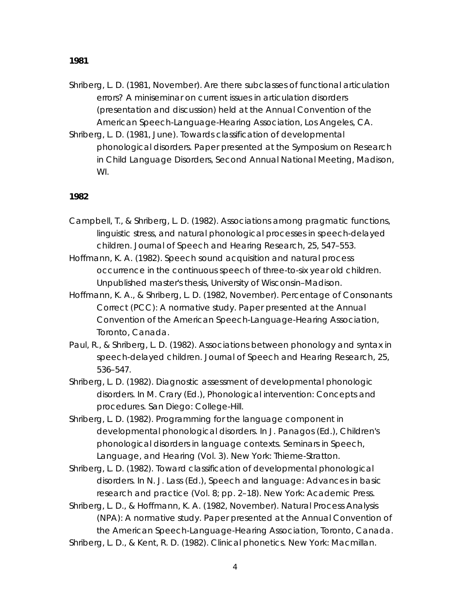- Shriberg, L. D. (1981, November). *Are there subclasses of functional articulation errors?* A miniseminar on current issues in articulation disorders (presentation and discussion) held at the Annual Convention of the American Speech-Language-Hearing Association, Los Angeles, CA.
- Shriberg, L. D. (1981, June). *Towards classification of developmental phonological disorders.* Paper presented at the Symposium on Research in Child Language Disorders, Second Annual National Meeting, Madison, WI.

- Campbell, T., & Shriberg, L. D. (1982). Associations among pragmatic functions, linguistic stress, and natural phonological processes in speech-delayed children. *Journal of Speech and Hearing Research, 25*, 547–553.
- Hoffmann, K. A. (1982). *Speech sound acquisition and natural process occurrence in the continuous speech of three-to-six year old children*. Unpublished master's thesis, University of Wisconsin–Madison.
- Hoffmann, K. A., & Shriberg, L. D. (1982, November). *Percentage of Consonants Correct (PCC): A normative study*. Paper presented at the Annual Convention of the American Speech-Language-Hearing Association, Toronto, Canada.
- Paul, R., & Shriberg, L. D. (1982). Associations between phonology and syntax in speech-delayed children. *Journal of Speech and Hearing Research, 25*, 536–547.
- Shriberg, L. D. (1982). Diagnostic assessment of developmental phonologic disorders. In M. Crary (Ed.), *Phonological intervention: Concepts and procedures*. San Diego: College-Hill.
- Shriberg, L. D. (1982). Programming for the language component in developmental phonological disorders. In J. Panagos (Ed.), *Children's phonological disorders in language contexts. Seminars in Speech, Language, and Hearing* (Vol. 3). New York: Thieme-Stratton.
- Shriberg, L. D. (1982). Toward classification of developmental phonological disorders. In N. J. Lass (Ed.), *Speech and language: Advances in basic research and practice* (Vol. 8; pp. 2–18). New York: Academic Press.
- Shriberg, L. D., & Hoffmann, K. A. (1982, November). *Natural Process Analysis (NPA): A normative study*. Paper presented at the Annual Convention of the American Speech-Language-Hearing Association, Toronto, Canada.
- Shriberg, L. D., & Kent, R. D. (1982). *Clinical phonetics*. New York: Macmillan.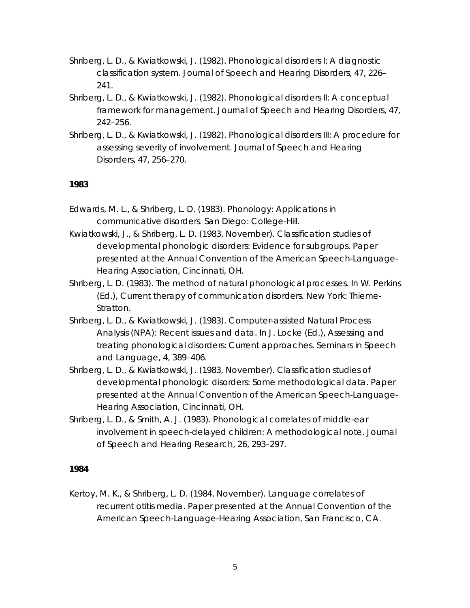Shriberg, L. D., & Kwiatkowski, J. (1982). Phonological disorders I: A diagnostic classification system. *Journal of Speech and Hearing Disorders, 47*, 226– 241.

- Shriberg, L. D., & Kwiatkowski, J. (1982). Phonological disorders II: A conceptual framework for management. *Journal of Speech and Hearing Disorders, 47*, 242–256.
- Shriberg, L. D., & Kwiatkowski, J. (1982). Phonological disorders III: A procedure for assessing severity of involvement. *Journal of Speech and Hearing Disorders, 47*, 256–270.

### *1983*

- Edwards, M. L., & Shriberg, L. D. (1983). *Phonology: Applications in communicative disorders.* San Diego: College-Hill.
- Kwiatkowski, J., & Shriberg, L. D. (1983, November). *Classification studies of developmental phonologic disorders: Evidence for subgroups*. Paper presented at the Annual Convention of the American Speech-Language-Hearing Association, Cincinnati, OH.
- Shriberg, L. D. (1983). The method of natural phonological processes. In W. Perkins (Ed.), *Current therapy of communication disorders*. New York: Thieme-Stratton.
- Shriberg, L. D., & Kwiatkowski, J. (1983). Computer-assisted Natural Process Analysis (NPA): Recent issues and data. In J. Locke (Ed.), *Assessing and treating phonological disorders: Current approaches. Seminars in Speech and Language, 4*, 389–406.
- Shriberg, L. D., & Kwiatkowski, J. (1983, November). *Classification studies of developmental phonologic disorders: Some methodological data*. Paper presented at the Annual Convention of the American Speech-Language-Hearing Association, Cincinnati, OH.
- Shriberg, L. D., & Smith, A. J. (1983). Phonological correlates of middle-ear involvement in speech-delayed children: A methodological note. *Journal of Speech and Hearing Research, 26*, 293–297.

# *1984*

Kertoy, M. K., & Shriberg, L. D. (1984, November). *Language correlates of recurrent otitis media*. Paper presented at the Annual Convention of the American Speech-Language-Hearing Association, San Francisco, CA.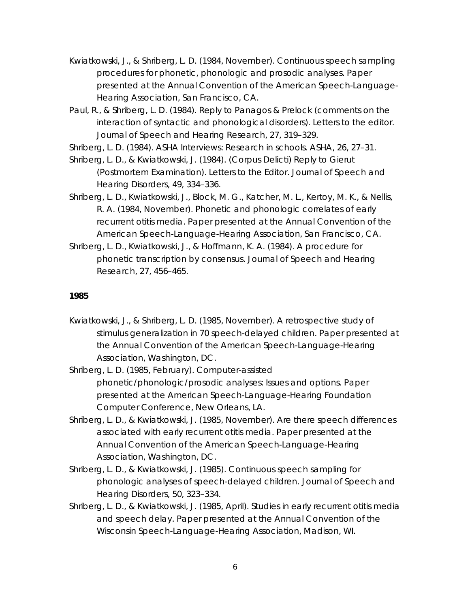Kwiatkowski, J., & Shriberg, L. D. (1984, November). *Continuous speech sampling procedures for phonetic, phonologic and prosodic analyses*. Paper presented at the Annual Convention of the American Speech-Language-Hearing Association, San Francisco, CA.

Paul, R., & Shriberg, L. D. (1984). Reply to Panagos & Prelock (comments on the interaction of syntactic and phonological disorders). Letters to the editor. *Journal of Speech and Hearing Research, 27*, 319–329.

Shriberg, L. D. (1984). ASHA Interviews: Research in schools. *ASHA, 26*, 27–31.

Shriberg, L. D., & Kwiatkowski, J. (1984). (Corpus Delicti) Reply to Gierut (Postmortem Examination). Letters to the Editor. *Journal of Speech and Hearing Disorders, 49*, 334–336.

Shriberg, L. D., Kwiatkowski, J., Block, M. G., Katcher, M. L., Kertoy, M. K., & Nellis, R. A. (1984, November). *Phonetic and phonologic correlates of early recurrent otitis media.* Paper presented at the Annual Convention of the American Speech-Language-Hearing Association, San Francisco, CA.

Shriberg, L. D., Kwiatkowski, J., & Hoffmann, K. A. (1984). A procedure for phonetic transcription by consensus. *Journal of Speech and Hearing Research, 27*, 456–465.

#### *1985*

Kwiatkowski, J., & Shriberg, L. D. (1985, November). *A retrospective study of stimulus generalization in 70 speech-delayed children*. Paper presented at the Annual Convention of the American Speech-Language-Hearing Association, Washington, DC.

Shriberg, L. D. (1985, February). *Computer-assisted phonetic/phonologic/prosodic analyses: Issues and options.* Paper presented at the American Speech-Language-Hearing Foundation Computer Conference, New Orleans, LA.

- Shriberg, L. D., & Kwiatkowski, J. (1985, November). *Are there speech differences associated with early recurrent otitis media*. Paper presented at the Annual Convention of the American Speech-Language-Hearing Association, Washington, DC.
- Shriberg, L. D., & Kwiatkowski, J. (1985). Continuous speech sampling for phonologic analyses of speech-delayed children. *Journal of Speech and Hearing Disorders, 50*, 323–334.
- Shriberg, L. D., & Kwiatkowski, J. (1985, April). *Studies in early recurrent otitis media and speech delay*. Paper presented at the Annual Convention of the Wisconsin Speech-Language-Hearing Association, Madison, WI.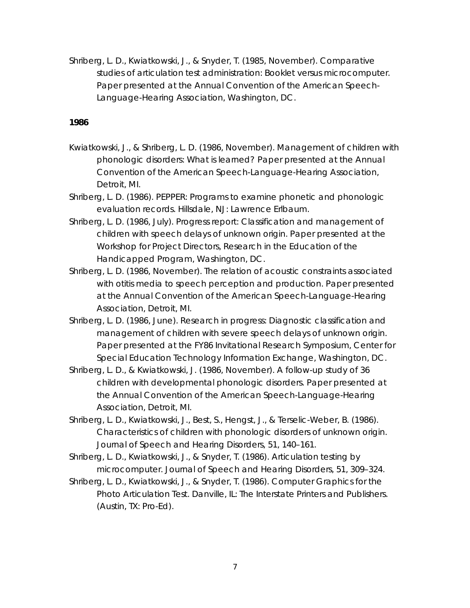Shriberg, L. D., Kwiatkowski, J., & Snyder, T. (1985, November). *Comparative studies of articulation test administration: Booklet versus microcomputer*. Paper presented at the Annual Convention of the American Speech-Language-Hearing Association, Washington, DC.

- Kwiatkowski, J., & Shriberg, L. D. (1986, November). *Management of children with phonologic disorders: What is learned?* Paper presented at the Annual Convention of the American Speech-Language-Hearing Association, Detroit, MI.
- Shriberg, L. D. (1986). *PEPPER: Programs to examine phonetic and phonologic evaluation records*. Hillsdale, NJ: Lawrence Erlbaum.
- Shriberg, L. D. (1986, July). *Progress report: Classification and management of children with speech delays of unknown origin*. Paper presented at the Workshop for Project Directors, Research in the Education of the Handicapped Program, Washington, DC.
- Shriberg, L. D. (1986, November). *The relation of acoustic constraints associated with otitis media to speech perception and production*. Paper presented at the Annual Convention of the American Speech-Language-Hearing Association, Detroit, MI.
- Shriberg, L. D. (1986, June). *Research in progress: Diagnostic classification and management of children with severe speech delays of unknown origin.* Paper presented at the FY86 Invitational Research Symposium, Center for Special Education Technology Information Exchange, Washington, DC.
- Shriberg, L. D., & Kwiatkowski, J. (1986, November). *A follow-up study of 36 children with developmental phonologic disorders.* Paper presented at the Annual Convention of the American Speech-Language-Hearing Association, Detroit, MI.
- Shriberg, L. D., Kwiatkowski, J., Best, S., Hengst, J., & Terselic-Weber, B. (1986). Characteristics of children with phonologic disorders of unknown origin. *Journal of Speech and Hearing Disorders, 51*, 140–161.
- Shriberg, L. D., Kwiatkowski, J., & Snyder, T. (1986). Articulation testing by microcomputer. *Journal of Speech and Hearing Disorders, 51*, 309–324.
- Shriberg, L. D., Kwiatkowski, J., & Snyder, T. (1986). *Computer Graphics for the Photo Articulation Test*. Danville, IL: The Interstate Printers and Publishers. (Austin, TX: Pro-Ed).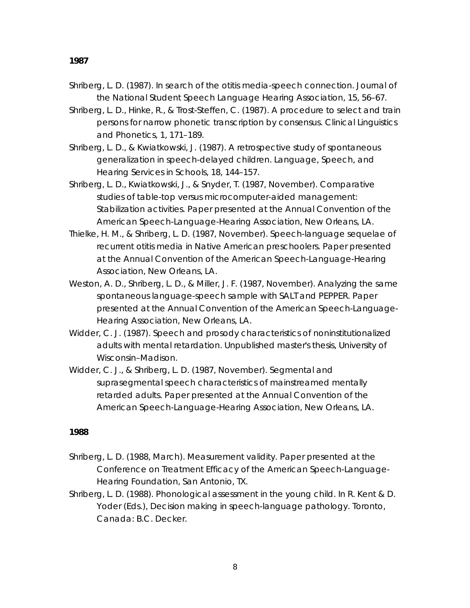- Shriberg, L. D. (1987). In search of the otitis media-speech connection. *Journal of the National Student Speech Language Hearing Association, 15*, 56–67.
- Shriberg, L. D., Hinke, R., & Trost-Steffen, C. (1987). A procedure to select and train persons for narrow phonetic transcription by consensus. *Clinical Linguistics and Phonetics, 1*, 171–189.
- Shriberg, L. D., & Kwiatkowski, J. (1987). A retrospective study of spontaneous generalization in speech-delayed children. *Language, Speech, and Hearing Services in Schools, 18*, 144–157.
- Shriberg, L. D., Kwiatkowski, J., & Snyder, T. (1987, November). *Comparative studies of table-top versus microcomputer-aided management: Stabilization activities.* Paper presented at the Annual Convention of the American Speech-Language-Hearing Association, New Orleans, LA.
- Thielke, H. M., & Shriberg, L. D. (1987, November). *Speech-language sequelae of recurrent otitis media in Native American preschoolers.* Paper presented at the Annual Convention of the American Speech-Language-Hearing Association, New Orleans, LA.
- Weston, A. D., Shriberg, L. D., & Miller, J. F. (1987, November). *Analyzing the same spontaneous language-speech sample with SALT and PEPPER.* Paper presented at the Annual Convention of the American Speech-Language-Hearing Association, New Orleans, LA.
- Widder, C. J. (1987). *Speech and prosody characteristics of noninstitutionalized adults with mental retardation*. Unpublished master's thesis, University of Wisconsin–Madison.
- Widder, C. J., & Shriberg, L. D. (1987, November). *Segmental and suprasegmental speech characteristics of mainstreamed mentally retarded adults.* Paper presented at the Annual Convention of the American Speech-Language-Hearing Association, New Orleans, LA.

- Shriberg, L. D. (1988, March). *Measurement validity.* Paper presented at the Conference on Treatment Efficacy of the American Speech-Language-Hearing Foundation, San Antonio, TX.
- Shriberg, L. D. (1988). Phonological assessment in the young child. In R. Kent & D. Yoder (Eds.), *Decision making in speech-language pathology*. Toronto, Canada: B.C. Decker.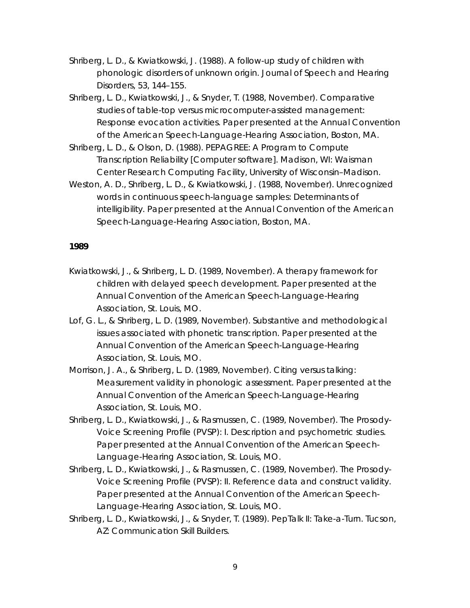- Shriberg, L. D., & Kwiatkowski, J. (1988). A follow-up study of children with phonologic disorders of unknown origin. *Journal of Speech and Hearing Disorders, 53*, 144–155.
- Shriberg, L. D., Kwiatkowski, J., & Snyder, T. (1988, November). *Comparative studies of table-top versus microcomputer-assisted management: Response evocation activities.* Paper presented at the Annual Convention of the American Speech-Language-Hearing Association, Boston, MA.
- Shriberg, L. D., & Olson, D. (1988). PEPAGREE: A Program to Compute Transcription Reliability [Computer software]. Madison, WI: Waisman Center Research Computing Facility, University of Wisconsin–Madison.
- Weston, A. D., Shriberg, L. D., & Kwiatkowski, J. (1988, November). *Unrecognized words in continuous speech-language samples: Determinants of intelligibility.* Paper presented at the Annual Convention of the American Speech-Language-Hearing Association, Boston, MA.

- Kwiatkowski, J., & Shriberg, L. D. (1989, November). *A therapy framework for children with delayed speech development.* Paper presented at the Annual Convention of the American Speech-Language-Hearing Association, St. Louis, MO.
- Lof, G. L., & Shriberg, L. D. (1989, November). *Substantive and methodological issues associated with phonetic transcription.* Paper presented at the Annual Convention of the American Speech-Language-Hearing Association, St. Louis, MO.
- Morrison, J. A., & Shriberg, L. D. (1989, November). *Citing versus talking: Measurement validity in phonologic assessment.* Paper presented at the Annual Convention of the American Speech-Language-Hearing Association, St. Louis, MO.
- Shriberg, L. D., Kwiatkowski, J., & Rasmussen, C. (1989, November). *The Prosody-Voice Screening Profile (PVSP): I. Description and psychometric studies.* Paper presented at the Annual Convention of the American Speech-Language-Hearing Association, St. Louis, MO.
- Shriberg, L. D., Kwiatkowski, J., & Rasmussen, C. (1989, November). *The Prosody-Voice Screening Profile (PVSP): II. Reference data and construct validity.* Paper presented at the Annual Convention of the American Speech-Language-Hearing Association, St. Louis, MO.
- Shriberg, L. D., Kwiatkowski, J., & Snyder, T. (1989). *PepTalk II: Take-a-Turn*. Tucson, AZ: Communication Skill Builders.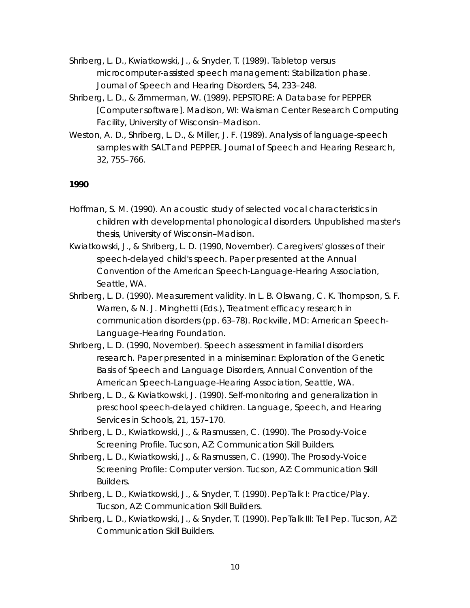Shriberg, L. D., Kwiatkowski, J., & Snyder, T. (1989). Tabletop versus microcomputer-assisted speech management: Stabilization phase. *Journal of Speech and Hearing Disorders, 54*, 233–248.

- Shriberg, L. D., & Zimmerman, W. (1989). PEPSTORE: A Database for PEPPER [Computer software]. Madison, WI: Waisman Center Research Computing Facility, University of Wisconsin–Madison.
- Weston, A. D., Shriberg, L. D., & Miller, J. F. (1989). Analysis of language-speech samples with SALT and PEPPER. *Journal of Speech and Hearing Research, 32*, 755–766.

- Hoffman, S. M. (1990). *An acoustic study of selected vocal characteristics in children with developmental phonological disorders*. Unpublished master's thesis, University of Wisconsin–Madison.
- Kwiatkowski, J., & Shriberg, L. D. (1990, November). *Caregivers' glosses of their speech-delayed child's speech.* Paper presented at the Annual Convention of the American Speech-Language-Hearing Association, Seattle, WA.
- Shriberg, L. D. (1990). Measurement validity. In L. B. Olswang, C. K. Thompson, S. F. Warren, & N. J. Minghetti (Eds.), *Treatment efficacy research in communication disorders* (pp. 63–78). Rockville, MD: American Speech-Language-Hearing Foundation.
- Shriberg, L. D. (1990, November). *Speech assessment in familial disorders research.* Paper presented in a miniseminar: Exploration of the Genetic Basis of Speech and Language Disorders, Annual Convention of the American Speech-Language-Hearing Association, Seattle, WA.
- Shriberg, L. D., & Kwiatkowski, J. (1990). Self-monitoring and generalization in preschool speech-delayed children. *Language, Speech, and Hearing Services in Schools, 21*, 157–170.
- Shriberg, L. D., Kwiatkowski, J., & Rasmussen, C. (1990). *The Prosody-Voice Screening Profile*. Tucson, AZ: Communication Skill Builders.
- Shriberg, L. D., Kwiatkowski, J., & Rasmussen, C. (1990). *The Prosody-Voice Screening Profile: Computer version*. Tucson, AZ: Communication Skill Builders.
- Shriberg, L. D., Kwiatkowski, J., & Snyder, T. (1990). *PepTalk I: Practice/Play*. Tucson, AZ: Communication Skill Builders.
- Shriberg, L. D., Kwiatkowski, J., & Snyder, T. (1990). *PepTalk III: Tell Pep*. Tucson, AZ: Communication Skill Builders.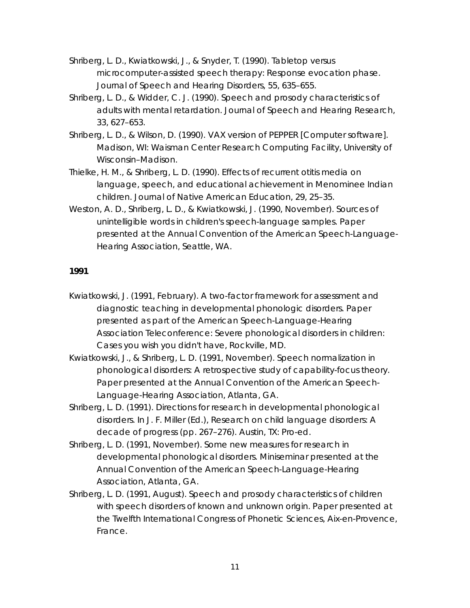Shriberg, L. D., Kwiatkowski, J., & Snyder, T. (1990). Tabletop versus microcomputer-assisted speech therapy: Response evocation phase. *Journal of Speech and Hearing Disorders, 55*, 635–655.

- Shriberg, L. D., & Widder, C. J. (1990). Speech and prosody characteristics of adults with mental retardation. *Journal of Speech and Hearing Research, 33*, 627–653.
- Shriberg, L. D., & Wilson, D. (1990). VAX version of PEPPER [Computer software]. Madison, WI: Waisman Center Research Computing Facility, University of Wisconsin–Madison.
- Thielke, H. M., & Shriberg, L. D. (1990). Effects of recurrent otitis media on language, speech, and educational achievement in Menominee Indian children. *Journal of Native American Education, 29*, 25–35.
- Weston, A. D., Shriberg, L. D., & Kwiatkowski, J. (1990, November). *Sources of unintelligible words in children's speech-language samples.* Paper presented at the Annual Convention of the American Speech-Language-Hearing Association, Seattle, WA.

- Kwiatkowski, J. (1991, February). *A two-factor framework for assessment and diagnostic teaching in developmental phonologic disorders.* Paper presented as part of the American Speech-Language-Hearing Association Teleconference: Severe phonological disorders in children: Cases you wish you didn't have, Rockville, MD.
- Kwiatkowski, J., & Shriberg, L. D. (1991, November). *Speech normalization in phonological disorders: A retrospective study of capability-focus theory.* Paper presented at the Annual Convention of the American Speech-Language-Hearing Association, Atlanta, GA.
- Shriberg, L. D. (1991). Directions for research in developmental phonological disorders. In J. F. Miller (Ed.), *Research on child language disorders: A decade of progress* (pp. 267–276). Austin, TX: Pro-ed.
- Shriberg, L. D. (1991, November). *Some new measures for research in developmental phonological disorders.* Miniseminar presented at the Annual Convention of the American Speech-Language-Hearing Association, Atlanta, GA.
- Shriberg, L. D. (1991, August). *Speech and prosody characteristics of children with speech disorders of known and unknown origin.* Paper presented at the Twelfth International Congress of Phonetic Sciences, Aix-en-Provence, France.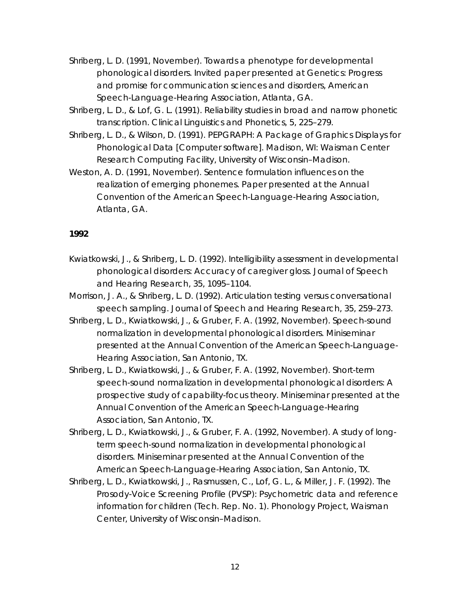Shriberg, L. D. (1991, November). Towards a phenotype for developmental phonological disorders. Invited paper presented at Genetics: Progress and promise for communication sciences and disorders, American Speech-Language-Hearing Association, Atlanta, GA.

- Shriberg, L. D., & Lof, G. L. (1991). Reliability studies in broad and narrow phonetic transcription. *Clinical Linguistics and Phonetics, 5*, 225–279.
- Shriberg, L. D., & Wilson, D. (1991). PEPGRAPH: A Package of Graphics Displays for Phonological Data [Computer software]. Madison, WI: Waisman Center Research Computing Facility, University of Wisconsin–Madison.
- Weston, A. D. (1991, November). *Sentence formulation influences on the realization of emerging phonemes.* Paper presented at the Annual Convention of the American Speech-Language-Hearing Association, Atlanta, GA.

- Kwiatkowski, J., & Shriberg, L. D. (1992). Intelligibility assessment in developmental phonological disorders: Accuracy of caregiver gloss. *Journal of Speech and Hearing Research, 35*, 1095–1104.
- Morrison, J. A., & Shriberg, L. D. (1992). Articulation testing versus conversational speech sampling. *Journal of Speech and Hearing Research, 35*, 259–273.
- Shriberg, L. D., Kwiatkowski, J., & Gruber, F. A. (1992, November). *Speech-sound normalization in developmental phonological disorders*. Miniseminar presented at the Annual Convention of the American Speech-Language-Hearing Association, San Antonio, TX.
- Shriberg, L. D., Kwiatkowski, J., & Gruber, F. A. (1992, November). *Short-term speech-sound normalization in developmental phonological disorders: A prospective study of capability-focus theory*. Miniseminar presented at the Annual Convention of the American Speech-Language-Hearing Association, San Antonio, TX.
- Shriberg, L. D., Kwiatkowski, J., & Gruber, F. A. (1992, November). *A study of longterm speech-sound normalization in developmental phonological disorders*. Miniseminar presented at the Annual Convention of the American Speech-Language-Hearing Association, San Antonio, TX.
- Shriberg, L. D., Kwiatkowski, J., Rasmussen, C., Lof, G. L., & Miller, J. F. (1992). *The Prosody-Voice Screening Profile (PVSP): Psychometric data and reference information for children* (Tech. Rep. No. 1). Phonology Project, Waisman Center, University of Wisconsin–Madison.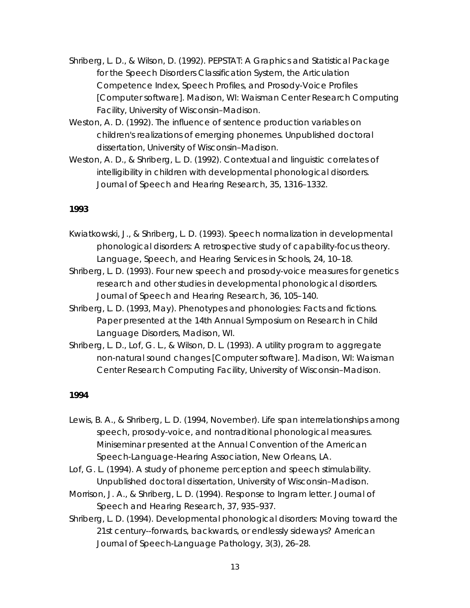- Shriberg, L. D., & Wilson, D. (1992). PEPSTAT: A Graphics and Statistical Package for the Speech Disorders Classification System, the Articulation Competence Index, Speech Profiles, and Prosody-Voice Profiles [Computer software]. Madison, WI: Waisman Center Research Computing Facility, University of Wisconsin–Madison.
- Weston, A. D. (1992). *The influence of sentence production variables on children's realizations of emerging phonemes*. Unpublished doctoral dissertation, University of Wisconsin–Madison.
- Weston, A. D., & Shriberg, L. D. (1992). Contextual and linguistic correlates of intelligibility in children with developmental phonological disorders. *Journal of Speech and Hearing Research, 35*, 1316–1332.

- Kwiatkowski, J., & Shriberg, L. D. (1993). Speech normalization in developmental phonological disorders: A retrospective study of capability-focus theory. *Language, Speech, and Hearing Services in Schools, 24*, 10–18.
- Shriberg, L. D. (1993). Four new speech and prosody-voice measures for genetics research and other studies in developmental phonological disorders. *Journal of Speech and Hearing Research, 36*, 105–140.
- Shriberg, L. D. (1993, May). *Phenotypes and phonologies: Facts and fictions*. Paper presented at the 14th Annual Symposium on Research in Child Language Disorders, Madison, WI.
- Shriberg, L. D., Lof, G. L., & Wilson, D. L. (1993). A utility program to aggregate non-natural sound changes [Computer software]. Madison, WI: Waisman Center Research Computing Facility, University of Wisconsin–Madison.

- Lewis, B. A., & Shriberg, L. D. (1994, November). *Life span interrelationships among speech, prosody-voice, and nontraditional phonological measures*. Miniseminar presented at the Annual Convention of the American Speech-Language-Hearing Association, New Orleans, LA.
- Lof, G. L. (1994). *A study of phoneme perception and speech stimulability*. Unpublished doctoral dissertation, University of Wisconsin–Madison.
- Morrison, J. A., & Shriberg, L. D. (1994). Response to Ingram letter. *Journal of Speech and Hearing Research, 37*, 935–937.
- Shriberg, L. D. (1994). Developmental phonological disorders: Moving toward the 21st century--forwards, backwards, or endlessly sideways? *American Journal of Speech-Language Pathology, 3*(3), 26–28.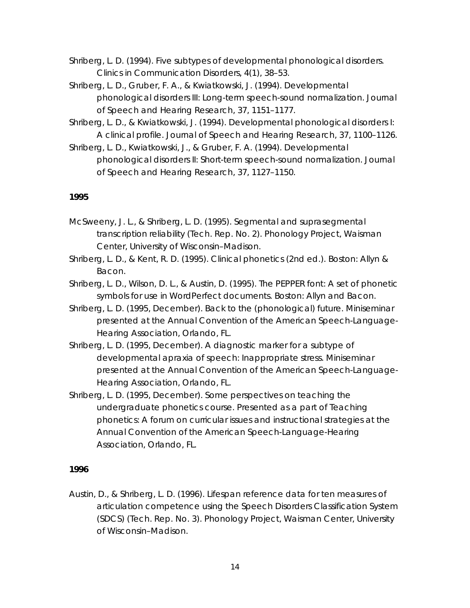Shriberg, L. D. (1994). Five subtypes of developmental phonological disorders. *Clinics in Communication Disorders, 4*(1), 38–53.

Shriberg, L. D., Gruber, F. A., & Kwiatkowski, J. (1994). Developmental phonological disorders III: Long-term speech-sound normalization. *Journal of Speech and Hearing Research, 37*, 1151–1177.

Shriberg, L. D., & Kwiatkowski, J. (1994). Developmental phonological disorders I: A clinical profile. *Journal of Speech and Hearing Research, 37*, 1100–1126.

Shriberg, L. D., Kwiatkowski, J., & Gruber, F. A. (1994). Developmental phonological disorders II: Short-term speech-sound normalization. *Journal of Speech and Hearing Research, 37*, 1127–1150.

# *1995*

- McSweeny, J. L., & Shriberg, L. D. (1995). *Segmental and suprasegmental transcription reliability* (Tech. Rep. No. 2). Phonology Project, Waisman Center, University of Wisconsin–Madison.
- Shriberg, L. D., & Kent, R. D. (1995). *Clinical phonetics* (2nd ed.). Boston: Allyn & Bacon.
- Shriberg, L. D., Wilson, D. L., & Austin, D. (1995). *The PEPPER font: A set of phonetic symbols for use in WordPerfect documents.* Boston: Allyn and Bacon.
- Shriberg, L. D. (1995, December). *Back to the (phonological) future*. Miniseminar presented at the Annual Convention of the American Speech-Language-Hearing Association, Orlando, FL.
- Shriberg, L. D. (1995, December). *A diagnostic marker for a subtype of developmental apraxia of speech: Inappropriate stress*. Miniseminar presented at the Annual Convention of the American Speech-Language-Hearing Association, Orlando, FL.
- Shriberg, L. D. (1995, December). *Some perspectives on teaching the undergraduate phonetics course*. Presented as a part of *Teaching phonetics: A forum on curricular issues and instructional strategies* at the Annual Convention of the American Speech-Language-Hearing Association, Orlando, FL.

# *1996*

Austin, D., & Shriberg, L. D. (1996). *Lifespan reference data for ten measures of articulation competence using the Speech Disorders Classification System (SDCS)* (Tech. Rep. No. 3). Phonology Project, Waisman Center, University of Wisconsin–Madison.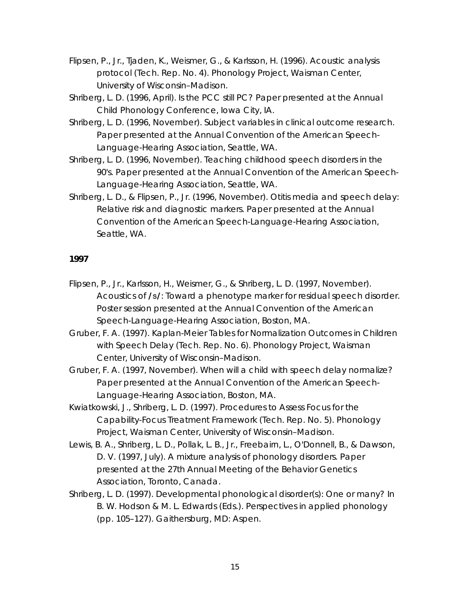- Flipsen, P., Jr., Tjaden, K., Weismer, G., & Karlsson, H. (1996). *Acoustic analysis protocol* (Tech. Rep. No. 4). Phonology Project, Waisman Center, University of Wisconsin–Madison.
- Shriberg, L. D. (1996, April). *Is the PCC still PC?* Paper presented at the Annual Child Phonology Conference, Iowa City, IA.
- Shriberg, L. D. (1996, November). *Subject variables in clinical outcome research*. Paper presented at the Annual Convention of the American Speech-Language-Hearing Association, Seattle, WA.
- Shriberg, L. D. (1996, November). *Teaching childhood speech disorders in the 90's*. Paper presented at the Annual Convention of the American Speech-Language-Hearing Association, Seattle, WA.
- Shriberg, L. D., & Flipsen, P., Jr. (1996, November). *Otitis media and speech delay: Relative risk and diagnostic markers*. Paper presented at the Annual Convention of the American Speech-Language-Hearing Association, Seattle, WA.

- Flipsen, P., Jr., Karlsson, H., Weismer, G., & Shriberg, L. D. (1997, November). *Acoustics of* **/s/***: Toward a phenotype marker for residual speech disorder*. Poster session presented at the Annual Convention of the American Speech-Language-Hearing Association, Boston, MA.
- Gruber, F. A. (1997). *Kaplan-Meier Tables for Normalization Outcomes in Children with Speech Delay* (Tech. Rep. No. 6). Phonology Project, Waisman Center, University of Wisconsin–Madison.
- Gruber, F. A. (1997, November). *When will a child with speech delay normalize?* Paper presented at the Annual Convention of the American Speech-Language-Hearing Association, Boston, MA.
- Kwiatkowski, J., Shriberg, L. D. (1997). *Procedures to Assess Focus for the Capability-Focus Treatment Framework* (Tech. Rep. No. 5). Phonology Project, Waisman Center, University of Wisconsin–Madison.
- Lewis, B. A., Shriberg, L. D., Pollak, L. B., Jr., Freebairn, L., O'Donnell, B., & Dawson, D. V. (1997, July). *A mixture analysis of phonology disorders*. Paper presented at the 27th Annual Meeting of the Behavior Genetics Association, Toronto, Canada.
- Shriberg, L. D. (1997). Developmental phonological disorder(s): One or many? In B. W. Hodson & M. L. Edwards (Eds.). *Perspectives in applied phonology* (pp. 105–127). Gaithersburg, MD: Aspen.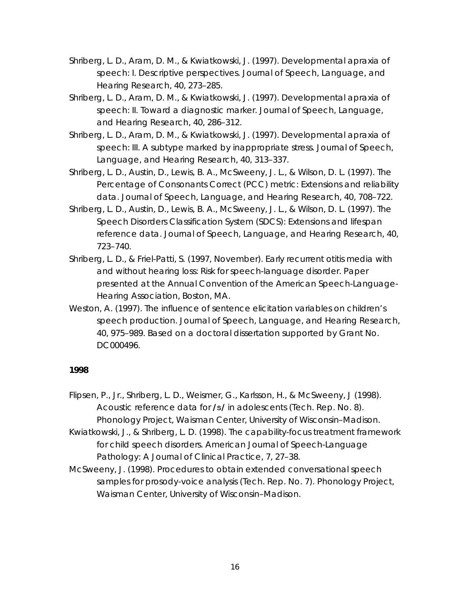- Shriberg, L. D., Aram, D. M., & Kwiatkowski, J. (1997). Developmental apraxia of speech: I. Descriptive perspectives. *Journal of Speech, Language, and Hearing Research, 40*, 273–285.
- Shriberg, L. D., Aram, D. M., & Kwiatkowski, J. (1997). Developmental apraxia of speech: II. Toward a diagnostic marker. *Journal of Speech, Language, and Hearing Research, 40*, 286–312.
- Shriberg, L. D., Aram, D. M., & Kwiatkowski, J. (1997). Developmental apraxia of speech: III. A subtype marked by inappropriate stress. *Journal of Speech, Language, and Hearing Research, 40*, 313–337.
- Shriberg, L. D., Austin, D., Lewis, B. A., McSweeny, J. L., & Wilson, D. L. (1997). The Percentage of Consonants Correct (PCC) metric: Extensions and reliability data. *Journal of Speech, Language, and Hearing Research, 40*, 708–722.
- Shriberg, L. D., Austin, D., Lewis, B. A., McSweeny, J. L., & Wilson, D. L. (1997). The Speech Disorders Classification System (SDCS): Extensions and lifespan reference data. *Journal of Speech, Language, and Hearing Research, 40*, 723–740.
- Shriberg, L. D., & Friel-Patti, S. (1997, November). *Early recurrent otitis media with and without hearing loss: Risk for speech-language disorder*. Paper presented at the Annual Convention of the American Speech-Language-Hearing Association, Boston, MA.
- Weston, A. (1997). The influence of sentence elicitation variables on children's speech production. *Journal of Speech, Language, and Hearing Research, 40*, 975–989. Based on a doctoral dissertation supported by Grant No. DC000496.

- Flipsen, P., Jr., Shriberg, L. D., Weismer, G., Karlsson, H., & McSweeny, J (1998). *Acoustic reference data for* **/s/** *in adolescents* (Tech. Rep. No. 8). Phonology Project, Waisman Center, University of Wisconsin–Madison.
- Kwiatkowski, J., & Shriberg, L. D. (1998). The capability-focus treatment framework for child speech disorders. *American Journal of Speech-Language Pathology: A Journal of Clinical Practice, 7,* 27–38.
- McSweeny, J. (1998). *Procedures to obtain extended conversational speech samples for prosody-voice analysis* (Tech. Rep. No. 7). Phonology Project, Waisman Center, University of Wisconsin–Madison.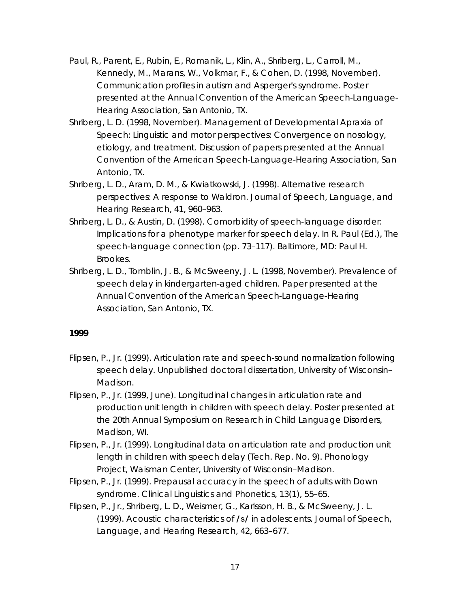- Paul, R., Parent, E., Rubin, E., Romanik, L., Klin, A., Shriberg, L., Carroll, M., Kennedy, M., Marans, W., Volkmar, F., & Cohen, D. (1998, November). *Communication profiles in autism and Asperger's syndrome*. Poster presented at the Annual Convention of the American Speech-Language-Hearing Association, San Antonio, TX.
- Shriberg, L. D. (1998, November). *Management of Developmental Apraxia of Speech: Linguistic and motor perspectives: Convergence on nosology, etiology, and treatment.* Discussion of papers presented at the Annual Convention of the American Speech-Language-Hearing Association, San Antonio, TX.
- Shriberg, L. D., Aram, D. M., & Kwiatkowski, J. (1998). Alternative research perspectives: A response to Waldron. *Journal of Speech, Language, and Hearing Research, 41*, 960–963.
- Shriberg, L. D., & Austin, D. (1998). Comorbidity of speech-language disorder: Implications for a phenotype marker for speech delay. In R. Paul (Ed.), *The speech-language connection* (pp. 73–117)*.* Baltimore, MD: Paul H. Brookes.
- Shriberg, L. D., Tomblin, J. B., & McSweeny, J. L. (1998, November). *Prevalence of speech delay in kindergarten-aged children*. Paper presented at the Annual Convention of the American Speech-Language-Hearing Association, San Antonio, TX.

- Flipsen, P., Jr. (1999). *Articulation rate and speech-sound normalization following speech delay*. Unpublished doctoral dissertation, University of Wisconsin– Madison.
- Flipsen, P., Jr. (1999, June). *Longitudinal changes in articulation rate and production unit length in children with speech delay*. Poster presented at the 20th Annual Symposium on Research in Child Language Disorders, Madison, WI.
- Flipsen, P., Jr. (1999). *Longitudinal data on articulation rate and production unit length in children with speech delay* (Tech. Rep. No. 9). Phonology Project, Waisman Center, University of Wisconsin–Madison.
- Flipsen, P., Jr. (1999). Prepausal accuracy in the speech of adults with Down syndrome. *Clinical Linguistics and Phonetics, 13*(1), 55–65.
- Flipsen, P., Jr., Shriberg, L. D., Weismer, G., Karlsson, H. B., & McSweeny, J. L. (1999). Acoustic characteristics of **/s/** in adolescents. *Journal of Speech, Language, and Hearing Research, 42*, 663–677.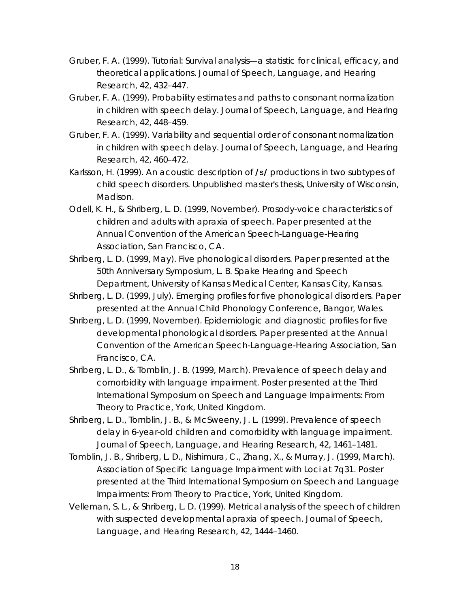- Gruber, F. A. (1999). Tutorial: Survival analysis—a statistic for clinical, efficacy, and theoretical applications. *Journal of Speech, Language, and Hearing Research, 42*, 432–447.
- Gruber, F. A. (1999). Probability estimates and paths to consonant normalization in children with speech delay. *Journal of Speech, Language, and Hearing Research, 42*, 448–459.
- Gruber, F. A. (1999). Variability and sequential order of consonant normalization in children with speech delay. *Journal of Speech, Language, and Hearing Research, 42*, 460–472.
- Karlsson, H. (1999). *An acoustic description of* **/s/** *productions in two subtypes of child speech disorders*. Unpublished master's thesis, University of Wisconsin, Madison.
- Odell, K. H., & Shriberg, L. D. (1999, November). *Prosody-voice characteristics of children and adults with apraxia of speech*. Paper presented at the Annual Convention of the American Speech-Language-Hearing Association, San Francisco, CA.
- Shriberg, L. D. (1999, May). *Five phonological disorders*. Paper presented at the 50th Anniversary Symposium, L. B. Spake Hearing and Speech Department, University of Kansas Medical Center, Kansas City, Kansas.
- Shriberg, L. D. (1999, July). *Emerging profiles for five phonological disorders*. Paper presented at the Annual Child Phonology Conference, Bangor, Wales.
- Shriberg, L. D. (1999, November). *Epidemiologic and diagnostic profiles for five developmental phonological disorders*. Paper presented at the Annual Convention of the American Speech-Language-Hearing Association, San Francisco, CA.
- Shriberg, L. D., & Tomblin, J. B. (1999, March). *Prevalence of speech delay and comorbidity with language impairment.* Poster presented at the Third International Symposium on Speech and Language Impairments: From Theory to Practice, York, United Kingdom.
- Shriberg, L. D., Tomblin, J. B., & McSweeny, J. L. (1999). Prevalence of speech delay in 6-year-old children and comorbidity with language impairment. *Journal of Speech, Language, and Hearing Research, 42*, 1461–1481.
- Tomblin, J. B., Shriberg, L. D., Nishimura, C., Zhang, X., & Murray, J. (1999, March). *Association of Specific Language Impairment with Loci at 7q31*. Poster presented at the Third International Symposium on Speech and Language Impairments: From Theory to Practice, York, United Kingdom.
- Velleman, S. L., & Shriberg, L. D. (1999). Metrical analysis of the speech of children with suspected developmental apraxia of speech. *Journal of Speech, Language, and Hearing Research, 42*, 1444–1460.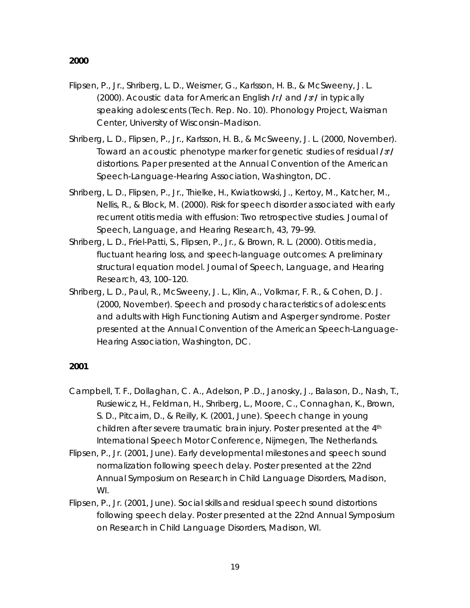- Flipsen, P., Jr., Shriberg, L. D., Weismer, G., Karlsson, H. B., & McSweeny, J. L. (2000). *Acoustic data for American English* **/r/** *and* **/6/** *in typically speaking adolescents* (Tech. Rep. No. 10). Phonology Project, Waisman Center, University of Wisconsin–Madison.
- Shriberg, L. D., Flipsen, P., Jr., Karlsson, H. B., & McSweeny, J. L. (2000, November). *Toward an acoustic phenotype marker for genetic studies of residual /* $\alpha$ */ distortions*. Paper presented at the Annual Convention of the American Speech-Language-Hearing Association, Washington, DC.
- Shriberg, L. D., Flipsen, P., Jr., Thielke, H., Kwiatkowski, J., Kertoy, M., Katcher, M., Nellis, R., & Block, M. (2000). Risk for speech disorder associated with early recurrent otitis media with effusion: Two retrospective studies. *Journal of Speech, Language, and Hearing Research, 43,* 79–99.
- Shriberg, L. D., Friel-Patti, S., Flipsen, P., Jr., & Brown, R. L. (2000). Otitis media, fluctuant hearing loss, and speech-language outcomes: A preliminary structural equation model*. Journal of Speech, Language, and Hearing Research, 43,* 100–120*.*
- Shriberg, L. D., Paul, R., McSweeny, J. L., Klin, A., Volkmar, F. R., & Cohen, D. J. (2000, November). *Speech and prosody characteristics of adolescents and adults with High Functioning Autism and Asperger syndrome.* Poster presented at the Annual Convention of the American Speech-Language-Hearing Association, Washington, DC.

- Campbell, T. F., Dollaghan, C. A., Adelson, P .D., Janosky, J., Balason, D., Nash, T., Rusiewicz, H., Feldman, H., Shriberg, L., Moore, C., Connaghan, K., Brown, S. D., Pitcairn, D., & Reilly, K. (2001, June). *Speech change in young children after severe traumatic brain injury*. Poster presented at the 4th International Speech Motor Conference, Nijmegen, The Netherlands.
- Flipsen, P., Jr. (2001, June). *Early developmental milestones and speech sound normalization following speech delay*. Poster presented at the 22nd Annual Symposium on Research in Child Language Disorders, Madison, WI.
- Flipsen, P., Jr. (2001, June). *Social skills and residual speech sound distortions following speech delay*. Poster presented at the 22nd Annual Symposium on Research in Child Language Disorders, Madison, WI.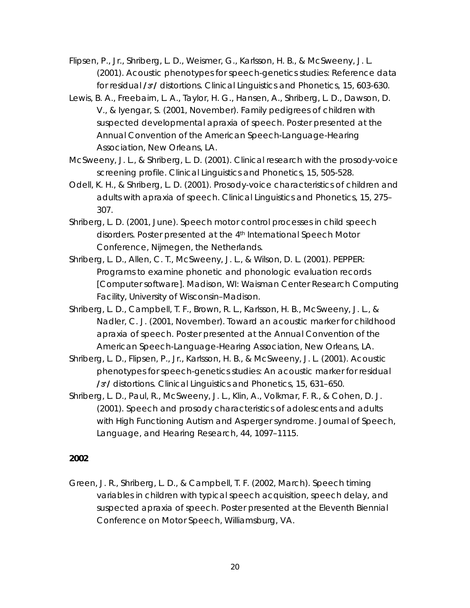- Flipsen, P., Jr., Shriberg, L. D., Weismer, G., Karlsson, H. B., & McSweeny, J. L. (2001). Acoustic phenotypes for speech-genetics studies: Reference data for residual **/6/** distortions. *Clinical Linguistics and Phonetics, 15*, 603-630.
- Lewis, B. A., Freebairn, L. A., Taylor, H. G., Hansen, A., Shriberg, L. D., Dawson, D. V., & Iyengar, S. (2001, November). *Family pedigrees of children with suspected developmental apraxia of speech*. Poster presented at the Annual Convention of the American Speech-Language-Hearing Association, New Orleans, LA.
- McSweeny, J. L., & Shriberg, L. D. (2001). Clinical research with the prosody-voice screening profile. *Clinical Linguistics and Phonetics, 15*, 505-528.
- Odell, K. H., & Shriberg, L. D. (2001). Prosody-voice characteristics of children and adults with apraxia of speech. *Clinical Linguistics and Phonetics, 15,* 275– 307.
- Shriberg, L. D. (2001, June). *Speech motor control processes in child speech*  disorders. Poster presented at the 4<sup>th</sup> International Speech Motor Conference, Nijmegen, the Netherlands.
- Shriberg, L. D., Allen, C. T., McSweeny, J. L., & Wilson, D. L. (2001). PEPPER: Programs to examine phonetic and phonologic evaluation records [Computer software]. Madison, WI: Waisman Center Research Computing Facility, University of Wisconsin–Madison.
- Shriberg, L. D., Campbell, T. F., Brown, R. L., Karlsson, H. B., McSweeny, J. L., & Nadler, C. J. (2001, November). *Toward an acoustic marker for childhood apraxia of speech.* Poster presented at the Annual Convention of the American Speech-Language-Hearing Association, New Orleans, LA.
- Shriberg, L. D., Flipsen, P., Jr., Karlsson, H. B., & McSweeny, J. L. (2001). Acoustic phenotypes for speech-genetics studies: An acoustic marker for residual **/6/** distortions*. Clinical Linguistics and Phonetics, 15,* 631–650.
- Shriberg, L. D., Paul, R., McSweeny, J. L., Klin, A., Volkmar, F. R., & Cohen, D. J. (2001). Speech and prosody characteristics of adolescents and adults with High Functioning Autism and Asperger syndrome. *Journal of Speech, Language, and Hearing Research, 44,* 1097–1115.

Green, J. R., Shriberg, L. D., & Campbell, T. F. (2002, March). *Speech timing variables in children with typical speech acquisition, speech delay, and suspected apraxia of speech.* Poster presented at the Eleventh Biennial Conference on Motor Speech, Williamsburg, VA.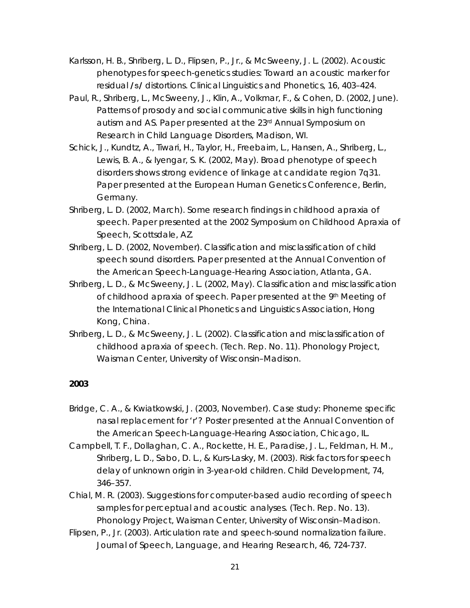- Karlsson, H. B., Shriberg, L. D., Flipsen, P., Jr., & McSweeny, J. L. (2002). Acoustic phenotypes for speech-genetics studies: Toward an acoustic marker for residual **/s/** distortions. *Clinical Linguistics and Phonetics, 16,* 403–424.
- Paul, R., Shriberg, L., McSweeny, J., Klin, A., Volkmar, F., & Cohen, D. (2002, June). *Patterns of prosody and social communicative skills in high functioning autism and AS.* Paper presented at the 23rd Annual Symposium on Research in Child Language Disorders, Madison, WI.
- Schick, J., Kundtz, A., Tiwari, H., Taylor, H., Freebairn, L., Hansen, A., Shriberg, L., Lewis, B. A., & Iyengar, S. K. (2002, May). *Broad phenotype of speech disorders shows strong evidence of linkage at candidate region 7q31.*  Paper presented at the European Human Genetics Conference, Berlin, Germany.
- Shriberg, L. D. (2002, March). *Some research findings in childhood apraxia of speech*. Paper presented at the 2002 Symposium on Childhood Apraxia of Speech, Scottsdale, AZ.
- Shriberg, L. D. (2002, November). *Classification and misclassification of child speech sound disorders*. Paper presented at the Annual Convention of the American Speech-Language-Hearing Association, Atlanta, GA.
- Shriberg, L. D., & McSweeny, J. L. (2002, May). *Classification and misclassification of childhood apraxia of speech*. Paper presented at the 9th Meeting of the International Clinical Phonetics and Linguistics Association, Hong Kong, China.
- Shriberg, L. D., & McSweeny, J. L. (2002). *Classification and misclassification of childhood apraxia of speech.* (Tech. Rep. No. 11). Phonology Project, Waisman Center, University of Wisconsin–Madison.

- Bridge, C. A., & Kwiatkowski, J. (2003, November). *Case study: Phoneme specific nasal replacement for 'r'?* Poster presented at the Annual Convention of the American Speech-Language-Hearing Association, Chicago, IL.
- Campbell, T. F., Dollaghan, C. A., Rockette, H. E., Paradise, J. L., Feldman, H. M., Shriberg, L. D., Sabo, D. L., & Kurs-Lasky, M. (2003). Risk factors for speech delay of unknown origin in 3-year-old children. *Child Development, 74,*  346–357.
- Chial, M. R. (2003). *Suggestions for computer-based audio recording of speech samples for perceptual and acoustic analyses.* (Tech. Rep. No. 13). Phonology Project, Waisman Center, University of Wisconsin–Madison.
- Flipsen, P., Jr. (2003). Articulation rate and speech-sound normalization failure. *Journal of Speech, Language, and Hearing Research, 46,* 724-737.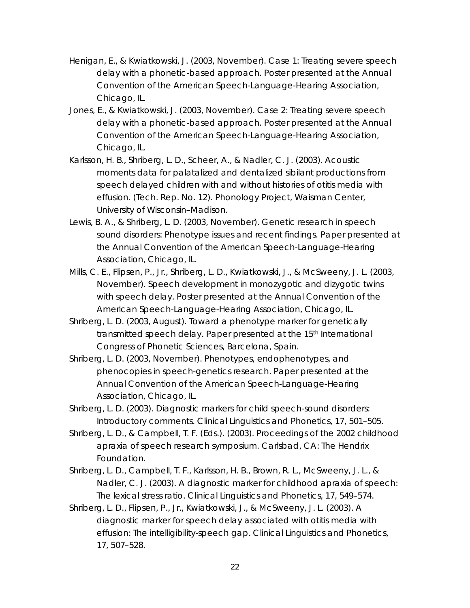- Henigan, E., & Kwiatkowski, J. (2003, November). *Case 1: Treating severe speech delay with a phonetic-based approach.* Poster presented at the Annual Convention of the American Speech-Language-Hearing Association, Chicago, IL.
- Jones, E., & Kwiatkowski, J. (2003, November). *Case 2: Treating severe speech delay with a phonetic-based approach.* Poster presented at the Annual Convention of the American Speech-Language-Hearing Association, Chicago, IL.
- Karlsson, H. B., Shriberg, L. D., Scheer, A., & Nadler, C. J. (2003). *Acoustic moments data for palatalized and dentalized sibilant productions from speech delayed children with and without histories of otitis media with effusion.* (Tech. Rep. No. 12). Phonology Project, Waisman Center, University of Wisconsin–Madison.
- Lewis, B. A., & Shriberg, L. D. (2003, November). *Genetic research in speech sound disorders: Phenotype issues and recent findings.* Paper presented at the Annual Convention of the American Speech-Language-Hearing Association, Chicago, IL.
- Mills, C. E., Flipsen, P., Jr., Shriberg, L. D., Kwiatkowski, J., & McSweeny, J. L. (2003, November). *Speech development in monozygotic and dizygotic twins with speech delay.* Poster presented at the Annual Convention of the American Speech-Language-Hearing Association, Chicago, IL.
- Shriberg, L. D. (2003, August). *Toward a phenotype marker for genetically transmitted speech delay*. Paper presented at the 15<sup>th</sup> International Congress of Phonetic Sciences, Barcelona, Spain.
- Shriberg, L. D. (2003, November). *Phenotypes, endophenotypes, and phenocopies in speech-genetics research*. Paper presented at the Annual Convention of the American Speech-Language-Hearing Association, Chicago, IL.
- Shriberg, L. D. (2003). Diagnostic markers for child speech-sound disorders: Introductory comments. *Clinical Linguistics and Phonetics, 17,* 501–505*.*
- Shriberg, L. D., & Campbell, T. F. (Eds.). (2003). *Proceedings of the 2002 childhood apraxia of speech research symposium.* Carlsbad, CA: The Hendrix Foundation.
- Shriberg, L. D., Campbell, T. F., Karlsson, H. B., Brown, R. L., McSweeny, J. L., & Nadler, C. J. (2003). A diagnostic marker for childhood apraxia of speech: The lexical stress ratio. *Clinical Linguistics and Phonetics, 17,* 549–574.
- Shriberg, L. D., Flipsen, P., Jr., Kwiatkowski, J., & McSweeny, J. L. (2003). A diagnostic marker for speech delay associated with otitis media with effusion: The intelligibility-speech gap. *Clinical Linguistics and Phonetics, 17,* 507–528.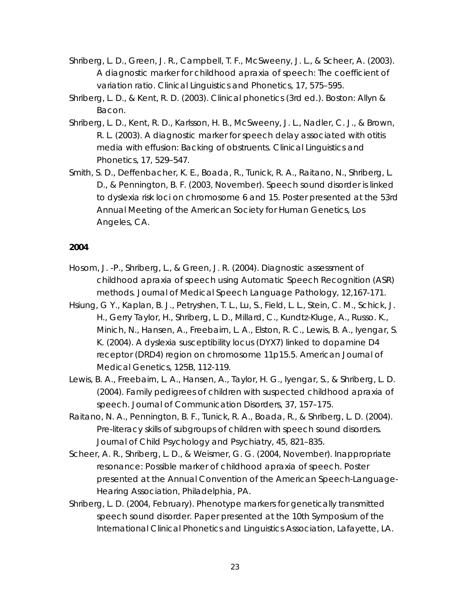- Shriberg, L. D., Green, J. R., Campbell, T. F., McSweeny, J. L., & Scheer, A. (2003). A diagnostic marker for childhood apraxia of speech: The coefficient of variation ratio. *Clinical Linguistics and Phonetics, 17,* 575–595.
- Shriberg, L. D., & Kent, R. D. (2003). *Clinical phonetics* (3rd ed.). Boston: Allyn & Bacon.
- Shriberg, L. D., Kent, R. D., Karlsson, H. B., McSweeny, J. L., Nadler, C. J., & Brown, R. L. (2003). A diagnostic marker for speech delay associated with otitis media with effusion: Backing of obstruents. *Clinical Linguistics and Phonetics, 17,* 529–547.
- Smith, S. D., Deffenbacher, K. E., Boada, R., Tunick, R. A., Raitano, N., Shriberg, L. D., & Pennington, B. F. (2003, November). *Speech sound disorder is linked to dyslexia risk loci on chromosome 6 and 15.* Poster presented at the 53rd Annual Meeting of the American Society for Human Genetics, Los Angeles, CA.

- Hosom, J. -P., Shriberg, L., & Green, J. R. (2004). Diagnostic assessment of childhood apraxia of speech using Automatic Speech Recognition (ASR) methods. *Journal of Medical Speech Language Pathology*, 12,167-171.
- Hsiung, G Y., Kaplan, B. J., Petryshen, T. L., Lu, S., Field, L. L., Stein, C. M., Schick, J. H., Gerry Taylor, H., Shriberg, L. D., Millard, C., Kundtz-Kluge, A., Russo. K., Minich, N., Hansen, A., Freebairn, L. A., Elston, R. C., Lewis, B. A., Iyengar, S. K. (2004). A dyslexia susceptibility locus (DYX7) linked to dopamine D4 receptor (DRD4) region on chromosome 11p15.5. *American Journal of Medical Genetics*, *125B*, 112-119.
- Lewis, B. A., Freebairn, L. A., Hansen, A., Taylor, H. G., Iyengar, S., & Shriberg, L. D. (2004). Family pedigrees of children with suspected childhood apraxia of speech. *Journal of Communication Disorders, 37,* 157–175.
- Raitano, N. A., Pennington, B. F., Tunick, R. A., Boada, R., & Shriberg, L. D. (2004). Pre-literacy skills of subgroups of children with speech sound disorders. *Journal of Child Psychology and Psychiatry, 45,* 821–835.
- Scheer, A. R., Shriberg, L. D., & Weismer, G. G. (2004, November). *Inappropriate resonance: Possible marker of childhood apraxia of speech.* Poster presented at the Annual Convention of the American Speech-Language-Hearing Association, Philadelphia, PA.
- Shriberg, L. D. (2004, February). *Phenotype markers for genetically transmitted speech sound disorder.* Paper presented at the 10th Symposium of the International Clinical Phonetics and Linguistics Association, Lafayette, LA.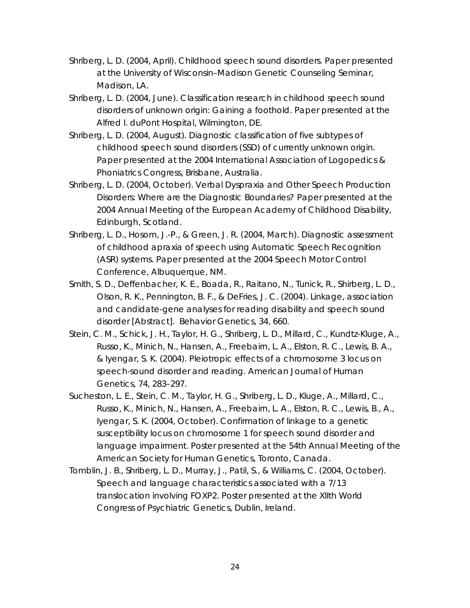- Shriberg, L. D. (2004, April). *Childhood speech sound disorders.* Paper presented at the University of Wisconsin–Madison Genetic Counseling Seminar, Madison, LA.
- Shriberg, L. D. (2004, June). *Classification research in childhood speech sound disorders of unknown origin: Gaining a foothold.* Paper presented at the Alfred I. duPont Hospital, Wilmington, DE.
- Shriberg, L. D. (2004, August). *Diagnostic classification of five subtypes of childhood speech sound disorders (SSD) of currently unknown origin.*  Paper presented at the 2004 International Association of Logopedics & Phoniatrics Congress, Brisbane, Australia.
- Shriberg, L. D. (2004, October). *Verbal Dyspraxia and Other Speech Production Disorders: Where are the Diagnostic Boundaries?* Paper presented at the 2004 Annual Meeting of the European Academy of Childhood Disability, Edinburgh, Scotland.
- Shriberg, L. D., Hosom, J.-P., & Green, J. R. (2004, March). *Diagnostic assessment of childhood apraxia of speech using Automatic Speech Recognition (ASR) systems.* Paper presented at the 2004 Speech Motor Control Conference, Albuquerque, NM.
- Smith, S. D., Deffenbacher, K. E., Boada, R., Raitano, N., Tunick, R., Shirberg, L. D., Olson, R. K., Pennington, B. F., & DeFries, J. C. (2004). Linkage, association and candidate-gene analyses for reading disability and speech sound disorder [Abstract]. *Behavior Genetics, 34,* 660.
- Stein, C. M., Schick, J. H., Taylor, H. G., Shriberg, L. D., Millard, C., Kundtz-Kluge, A., Russo, K., Minich, N., Hansen, A., Freebairn, L. A., Elston, R. C., Lewis, B. A., & Iyengar, S. K. (2004). Pleiotropic effects of a chromosome 3 locus on speech-sound disorder and reading. *American Journal of Human Genetics, 74,* 283–297.
- Sucheston, L. E., Stein, C. M., Taylor, H. G., Shriberg, L. D., Kluge, A., Millard, C., Russo, K., Minich, N., Hansen, A., Freebairn, L. A., Elston, R. C., Lewis, B., A., Iyengar, S. K. (2004, October). *Confirmation of linkage to a genetic susceptibility locus on chromosome 1 for speech sound disorder and language impairment*. Poster presented at the 54th Annual Meeting of the American Society for Human Genetics, Toronto, Canada.
- Tomblin, J. B., Shriberg, L. D., Murray, J., Patil, S., & Williams, C. (2004, October). *Speech and language characteristics associated with a 7/13 translocation involving FOXP2*. Poster presented at the XIIth World Congress of Psychiatric Genetics, Dublin, Ireland.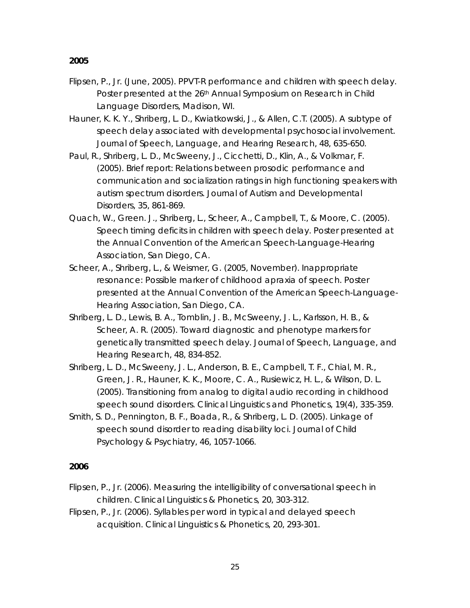- Flipsen, P., Jr. (June, 2005). *PPVT-R performance and children with speech delay.* Poster presented at the 26<sup>th</sup> Annual Symposium on Research in Child Language Disorders, Madison, WI.
- Hauner, K. K. Y., Shriberg, L. D., Kwiatkowski, J., & Allen, C.T. (2005). A subtype of speech delay associated with developmental psychosocial involvement. *Journal of Speech, Language, and Hearing Research, 48,* 635-650.
- Paul, R., Shriberg, L. D., McSweeny, J., Cicchetti, D., Klin, A., & Volkmar, F. (2005). Brief report: Relations between prosodic performance and communication and socialization ratings in high functioning speakers with autism spectrum disorders. *Journal of Autism and Developmental Disorders, 35,* 861-869.
- Quach, W., Green. J., Shriberg, L., Scheer, A., Campbell, T., & Moore, C. (2005). Speech timing deficits in children with speech delay. Poster presented at the Annual Convention of the American Speech-Language-Hearing Association, San Diego, CA.
- Scheer, A., Shriberg, L., & Weismer, G. (2005, November). *Inappropriate resonance: Possible marker of childhood apraxia of speech*. Poster presented at the Annual Convention of the American Speech-Language-Hearing Association, San Diego, CA.
- Shriberg, L. D., Lewis, B. A., Tomblin, J. B., McSweeny, J. L., Karlsson, H. B., & Scheer, A. R. (2005). Toward diagnostic and phenotype markers for genetically transmitted speech delay. *Journal of Speech, Language, and Hearing Research, 48,* 834-852.
- Shriberg, L. D., McSweeny, J. L., Anderson, B. E., Campbell, T. F., Chial, M. R., Green, J. R., Hauner, K. K., Moore, C. A., Rusiewicz, H. L., & Wilson, D. L. (2005). Transitioning from analog to digital audio recording in childhood speech sound disorders. *Clinical Linguistics and Phonetics, 19*(4), 335-359.
- Smith, S. D., Pennington, B. F., Boada, R., & Shriberg, L. D. (2005). Linkage of speech sound disorder to reading disability loci. *Journal of Child Psychology & Psychiatry, 46,* 1057-1066.

- Flipsen, P., Jr. (2006). Measuring the intelligibility of conversational speech in children. *Clinical Linguistics & Phonetics, 20,* 303-312.
- Flipsen, P., Jr. (2006). Syllables per word in typical and delayed speech acquisition. *Clinical Linguistics & Phonetics, 20,* 293-301.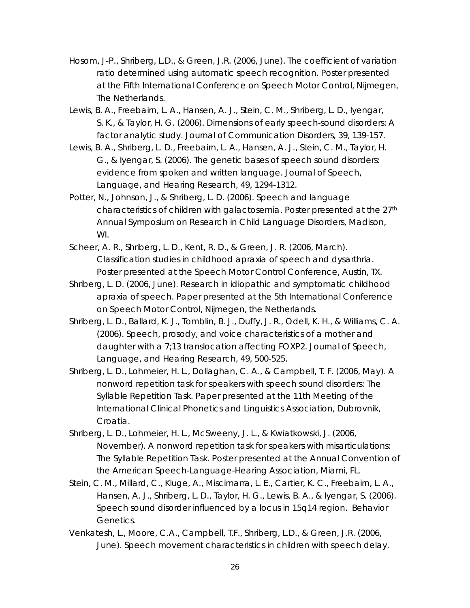- Hosom, J-P., Shriberg, L.D., & Green, J.R. (2006, June). *The coefficient of variation ratio determined using automatic speech recognition*. Poster presented at the Fifth International Conference on Speech Motor Control, Nijmegen, The Netherlands.
- Lewis, B. A., Freebairn, L. A., Hansen, A. J., Stein, C. M., Shriberg, L. D., Iyengar, S. K., & Taylor, H. G. (2006). Dimensions of early speech-sound disorders: A factor analytic study. *Journal of Communication Disorders, 39,* 139-157.
- Lewis, B. A., Shriberg, L. D., Freebairn, L. A., Hansen, A. J., Stein, C. M., Taylor, H. G., & Iyengar, S. (2006). The genetic bases of speech sound disorders: evidence from spoken and written language. *Journal of Speech, Language, and Hearing Research, 49,* 1294-1312.
- Potter, N., Johnson, J., & Shriberg, L. D. (2006). Speech and language characteristics of children with galactosemia. Poster presented at the 27th Annual Symposium on Research in Child Language Disorders, Madison, WI.
- Scheer, A. R., Shriberg, L. D., Kent, R. D., & Green, J. R. (2006, March). *Classification studies in childhood apraxia of speech and dysarthria*. Poster presented at the Speech Motor Control Conference, Austin, TX.
- Shriberg, L. D. (2006, June). *Research in idiopathic and symptomatic childhood apraxia of speech*. Paper presented at the 5th International Conference on Speech Motor Control, Nijmegen, the Netherlands.
- Shriberg, L. D., Ballard, K. J., Tomblin, B. J., Duffy, J. R., Odell, K. H., & Williams, C. A. (2006). Speech, prosody, and voice characteristics of a mother and daughter with a 7;13 translocation affecting *FOXP2. Journal of Speech, Language, and Hearing Research, 49,* 500-525.
- Shriberg, L. D., Lohmeier, H. L., Dollaghan, C. A., & Campbell, T. F. (2006, May). *A nonword repetition task for speakers with speech sound disorders: The Syllable Repetition Task*. Paper presented at the 11th Meeting of the International Clinical Phonetics and Linguistics Association, Dubrovnik, Croatia.
- Shriberg, L. D., Lohmeier, H. L., McSweeny, J. L., & Kwiatkowski, J. (2006, November). *A nonword repetition task for speakers with misarticulations: The Syllable Repetition Task*. Poster presented at the Annual Convention of the American Speech-Language-Hearing Association, Miami, FL.
- Stein, C. M., Millard, C., Kluge, A., Miscimarra, L. E., Cartier, K. C., Freebairn, L. A., Hansen, A. J., Shriberg, L. D., Taylor, H. G., Lewis, B. A., & Iyengar, S. (2006). Speech sound disorder influenced by a locus in 15q14 region. *Behavior Genetics.*
- Venkatesh, L., Moore, C.A., Campbell, T.F., Shriberg, L.D., & Green, J.R. (2006, June). *Speech movement characteristics in children with speech delay*.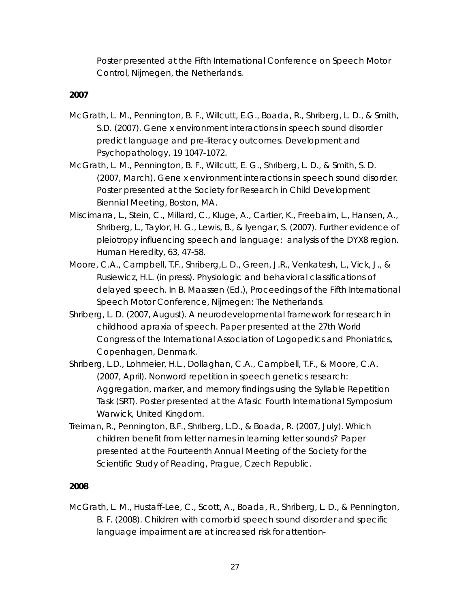Poster presented at the Fifth International Conference on Speech Motor Control, Nijmegen, the Netherlands.

# *2007*

- McGrath, L. M., Pennington, B. F., Willcutt, E.G., Boada, R., Shriberg, L. D., & Smith, S.D. (2007). Gene x environment interactions in speech sound disorder predict language and pre-literacy outcomes. *Development and Psychopathology, 19* 1047-1072.
- McGrath, L. M., Pennington, B. F., Willcutt, E. G., Shriberg, L. D., & Smith, S. D. (2007, March). *Gene x environment interactions in speech sound disorder.* Poster presented at the Society for Research in Child Development Biennial Meeting, Boston, MA.
- Miscimarra, L., Stein, C., Millard, C., Kluge, A., Cartier, K., Freebairn, L., Hansen, A., Shriberg, L., Taylor, H. G., Lewis, B., & Iyengar, S. (2007). Further evidence of pleiotropy influencing speech and language: analysis of the DYX8 region. Human Heredity, 63, 47-58.
- Moore, C.A., Campbell, T.F., Shriberg,L. D., Green, J.R., Venkatesh, L., Vick, J., & Rusiewicz, H.L. (in press). Physiologic and behavioral classifications of delayed speech. In B. Maassen (Ed.), *Proceedings of the Fifth International Speech Motor Conference*, Nijmegen: The Netherlands.
- Shriberg, L. D. (2007, August). *A neurodevelopmental framework for research in childhood apraxia of speech*. Paper presented at the 27th World Congress of the International Association of Logopedics and Phoniatrics, Copenhagen, Denmark.
- Shriberg, L.D., Lohmeier, H.L., Dollaghan, C.A., Campbell, T.F., & Moore, C.A. (2007, April). Nonword repetition in speech genetics research: Aggregation, marker, and memory findings using the Syllable Repetition Task (SRT). Poster presented at the Afasic Fourth International Symposium Warwick, United Kingdom.
- Treiman, R., Pennington, B.F., Shriberg, L.D., & Boada, R. (2007, July). *Which children benefit from letter names in learning letter sounds?* Paper presented at the Fourteenth Annual Meeting of the Society for the Scientific Study of Reading, Prague, Czech Republic.

# *2008*

McGrath, L. M., Hustaff-Lee, C., Scott, A., Boada, R., Shriberg, L. D., & Pennington, B. F. (2008). Children with comorbid speech sound disorder and specific language impairment are at increased risk for attention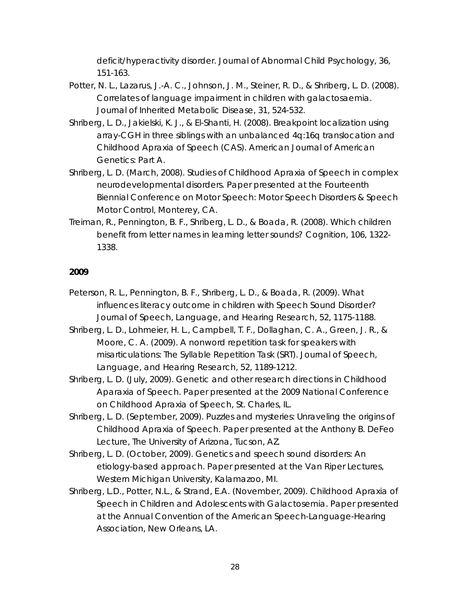deficit/hyperactivity disorder. *Journal of Abnormal Child Psychology, 36,*  151-163.

- Potter, N. L., Lazarus, J.-A. C., Johnson, J. M., Steiner, R. D., & Shriberg, L. D. (2008). Correlates of language impairment in children with galactosaemia. *Journal of Inherited Metabolic Disease*, *31*, 524-532.
- Shriberg, L. D., Jakielski, K. J., & El-Shanti, H. (2008). Breakpoint localization using array-CGH in three siblings with an unbalanced 4q:16q translocation and Childhood Apraxia of Speech (CAS). *American Journal of American Genetics: Part A.*
- Shriberg, L. D. (March, 2008). *Studies of Childhood Apraxia of Speech in complex neurodevelopmental disorders.* Paper presented at the Fourteenth Biennial Conference on Motor Speech: Motor Speech Disorders & Speech Motor Control, Monterey, CA.
- Treiman, R., Pennington, B. F., Shriberg, L. D., & Boada, R. (2008). Which children benefit from letter names in learning letter sounds? *Cognition, 106,* 1322- 1338.

- Peterson, R. L., Pennington, B. F., Shriberg, L. D., & Boada, R. (2009). What influences literacy outcome in children with Speech Sound Disorder? *Journal of Speech, Language, and Hearing Research, 52,* 1175-1188.
- Shriberg, L. D., Lohmeier, H. L., Campbell, T. F., Dollaghan, C. A., Green, J. R., & Moore, C. A. (2009). A nonword repetition task for speakers with misarticulations: The Syllable Repetition Task (SRT). *Journal of Speech, Language, and Hearing Research, 52,* 1189-1212.
- Shriberg, L. D. (July, 2009). *Genetic and other research directions in Childhood Aparaxia of Speech*. Paper presented at the 2009 National Conference on Childhood Apraxia of Speech, St. Charles, IL.
- Shriberg, L. D. (September, 2009). *Puzzles and mysteries: Unraveling the origins of Childhood Apraxia of Speech*. Paper presented at the Anthony B. DeFeo Lecture, The University of Arizona, Tucson, AZ.
- Shriberg, L. D. (October, 2009). *Genetics and speech sound disorders: An etiology-based approach*. Paper presented at the Van Riper Lectures, Western Michigan University, Kalamazoo, MI.
- Shriberg, L.D., Potter, N.L., & Strand, E.A. (November, 2009). Childhood Apraxia of Speech in Children and Adolescents with Galactosemia. Paper presented at the Annual Convention of the American Speech-Language-Hearing Association, New Orleans, LA.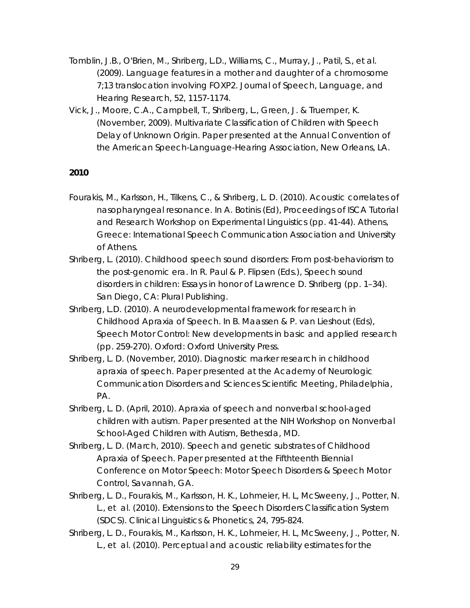- Tomblin, J.B., O'Brien, M., Shriberg, L.D., Williams, C., Murray, J., Patil, S., et al. (2009). Language features in a mother and daughter of a chromosome 7;13 translocation involving *FOXP2*. *Journal of Speech, Language, and Hearing Research, 52,* 1157-1174.
- Vick, J., Moore, C.A., Campbell, T., Shriberg, L., Green, J. & Truemper, K. (November, 2009). Multivariate Classification of Children with Speech Delay of Unknown Origin. Paper presented at the Annual Convention of the American Speech-Language-Hearing Association, New Orleans, LA.

- Fourakis, M., Karlsson, H., Tilkens, C., & Shriberg, L. D. (2010). Acoustic correlates of nasopharyngeal resonance. In A. Botinis (Ed), *Proceedings of ISCA Tutorial and Research Workshop on Experimental Linguistics* (pp. 41-44). Athens, Greece: International Speech Communication Association and University of Athens.
- Shriberg, L. (2010). *Childhood speech sound disorders: From post-behaviorism to the post-genomic era*. In R. Paul & P. Flipsen (Eds.), Speech sound disorders in children: Essays in honor of Lawrence D. Shriberg (pp. 1–34). San Diego, CA: Plural Publishing.
- Shriberg, L.D. (2010). A neurodevelopmental framework for research in Childhood Apraxia of Speech. In B. Maassen & P. van Lieshout (Eds), *Speech Motor Control: New developments in basic and applied research*  (pp. 259-270). Oxford: Oxford University Press.
- Shriberg, L. D. (November, 2010). *Diagnostic marker research in childhood apraxia of speech*. Paper presented at the Academy of Neurologic Communication Disorders and Sciences Scientific Meeting, Philadelphia, PA.
- Shriberg, L. D. (April, 2010). *Apraxia of speech and nonverbal school-aged children with autism.* Paper presented at the NIH Workshop on Nonverbal School-Aged Children with Autism, Bethesda, MD.
- Shriberg, L. D. (March, 2010). *Speech and genetic substrates of Childhood Apraxia of Speech.* Paper presented at the Fifthteenth Biennial Conference on Motor Speech: Motor Speech Disorders & Speech Motor Control, Savannah, GA.
- Shriberg, L. D., Fourakis, M., Karlsson, H. K., Lohmeier, H. L, McSweeny, J., Potter, N. L., et al. (2010). Extensions to the Speech Disorders Classification System (SDCS). *Clinical Linguistics & Phonetics*, *24*, 795-824.
- Shriberg, L. D., Fourakis, M., Karlsson, H. K., Lohmeier, H. L, McSweeny, J., Potter, N. L., et al. (2010). Perceptual and acoustic reliability estimates for the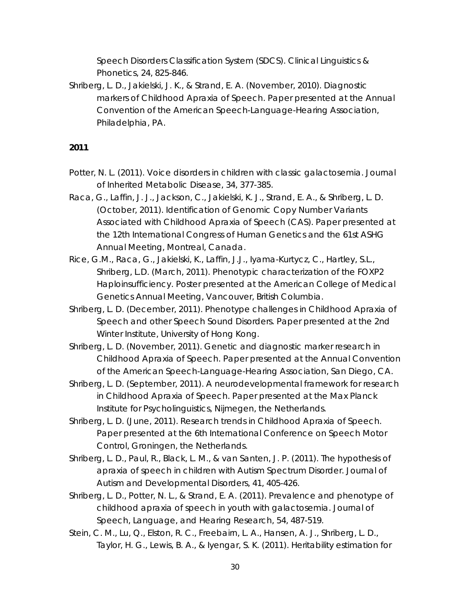Speech Disorders Classification System (SDCS). *Clinical Linguistics & Phonetics*, *24*, 825-846.

Shriberg, L. D., Jakielski, J. K., & Strand, E. A. (November, 2010). Diagnostic markers of Childhood Apraxia of Speech. Paper presented at the Annual Convention of the American Speech-Language-Hearing Association, Philadelphia, PA.

- Potter, N. L. (2011). Voice disorders in children with classic galactosemia. *Journal of Inherited Metabolic Disease, 34,* 377-385.
- Raca, G., Laffin, J. J., Jackson, C., Jakielski, K. J., Strand, E. A., & Shriberg, L. D. (October, 2011). *Identification of Genomic Copy Number Variants Associated with Childhood Apraxia of Speech (CAS)*. Paper presented at the 12th International Congress of Human Genetics and the 61st ASHG Annual Meeting, Montreal, Canada.
- Rice, G.M., Raca, G., Jakielski, K., Laffin, J.J., Iyama-Kurtycz, C., Hartley, S.L., Shriberg, L.D. (March, 2011). *Phenotypic characterization of the FOXP2 Haploinsufficiency*. Poster presented at the American College of Medical Genetics Annual Meeting, Vancouver, British Columbia.
- Shriberg, L. D. (December, 2011). *Phenotype challenges in Childhood Apraxia of Speech and other Speech Sound Disorders*. Paper presented at the 2nd Winter Institute, University of Hong Kong.
- Shriberg, L. D. (November, 2011). *Genetic and diagnostic marker research in Childhood Apraxia of Speech*. Paper presented at the Annual Convention of the American Speech-Language-Hearing Association, San Diego, CA.
- Shriberg, L. D. (September, 2011). *A neurodevelopmental framework for research in Childhood Apraxia of Speech*. Paper presented at the Max Planck Institute for Psycholinguistics, Nijmegen, the Netherlands.
- Shriberg, L. D. (June, 2011). *Research trends in Childhood Apraxia of Speech*. Paper presented at the 6th International Conference on Speech Motor Control, Groningen, the Netherlands.
- Shriberg, L. D., Paul, R., Black, L. M., & van Santen, J. P. (2011). The hypothesis of apraxia of speech in children with Autism Spectrum Disorder. *Journal of Autism and Developmental Disorders, 41,* 405-426.
- Shriberg, L. D., Potter, N. L., & Strand, E. A. (2011). Prevalence and phenotype of childhood apraxia of speech in youth with galactosemia. *Journal of Speech, Language, and Hearing Research, 54,* 487-519.
- Stein, C. M., Lu, Q., Elston, R. C., Freebairn, L. A., Hansen, A. J., Shriberg, L. D., Taylor, H. G., Lewis, B. A., & Iyengar, S. K. (2011). Heritability estimation for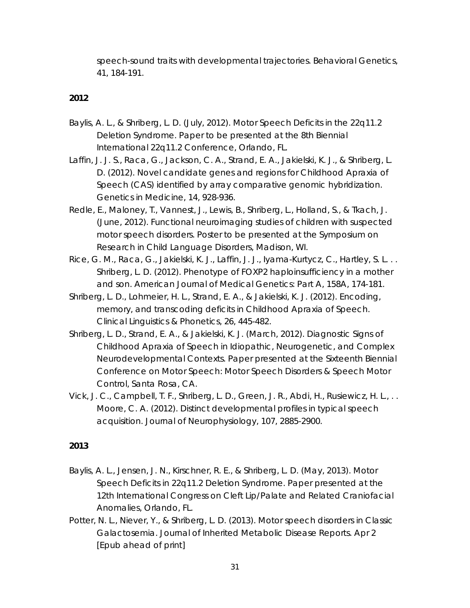speech-sound traits with developmental trajectories. *Behavioral Genetics, 41, 184-191.*

# *2012*

- Baylis, A. L., & Shriberg, L. D. (July, 2012). *Motor Speech Deficits in the 22q11.2 Deletion Syndrome*. Paper to be presented at the 8th Biennial International 22q11.2 Conference, Orlando, FL.
- Laffin, J. J. S., Raca, G., Jackson, C. A., Strand, E. A., Jakielski, K. J., & Shriberg, L. D. (2012). Novel candidate genes and regions for Childhood Apraxia of Speech (CAS) identified by array comparative genomic hybridization. *Genetics in Medicine*, *14*, 928-936.
- Redle, E., Maloney, T., Vannest, J., Lewis, B., Shriberg, L., Holland, S., & Tkach, J. (June, 2012). Functional neuroimaging studies of children with suspected motor speech disorders. Poster to be presented at the Symposium on Research in Child Language Disorders, Madison, WI.
- Rice, G. M., Raca, G., Jakielski, K. J., Laffin, J. J., Iyama-Kurtycz, C., Hartley, S. L... Shriberg, L. D. (2012). Phenotype of FOXP2 haploinsufficiency in a mother and son. *American Journal of Medical Genetics: Part A, 158A,* 174-181.
- Shriberg, L. D., Lohmeier, H. L., Strand, E. A., & Jakielski, K. J. (2012). Encoding, memory, and transcoding deficits in Childhood Apraxia of Speech. *Clinical Linguistics & Phonetics, 26,* 445-482.
- Shriberg, L. D., Strand, E. A., & Jakielski, K. J. (March, 2012). Diagnostic Signs of Childhood Apraxia of Speech in Idiopathic, Neurogenetic, and Complex Neurodevelopmental Contexts. Paper presented at the Sixteenth Biennial Conference on Motor Speech: Motor Speech Disorders & Speech Motor Control, Santa Rosa, CA.
- Vick, J. C., Campbell, T. F., Shriberg, L. D., Green, J. R., Abdi, H., Rusiewicz, H. L., . . Moore, C. A. (2012). Distinct developmental profiles in typical speech acquisition. *Journal of Neurophysiology*, *107*, 2885-2900.

- Baylis, A. L., Jensen, J. N., Kirschner, R. E., & Shriberg, L. D. (May, 2013). Motor Speech Deficits in 22q11.2 Deletion Syndrome. Paper presented at the 12th International Congress on Cleft Lip/Palate and Related Craniofacial Anomalies, Orlando, FL.
- Potter, N. L., Niever, Y., & Shriberg, L. D. (2013). Motor speech disorders in Classic Galactosemia. *Journal of Inherited Metabolic Disease Reports*. Apr 2 [Epub ahead of print]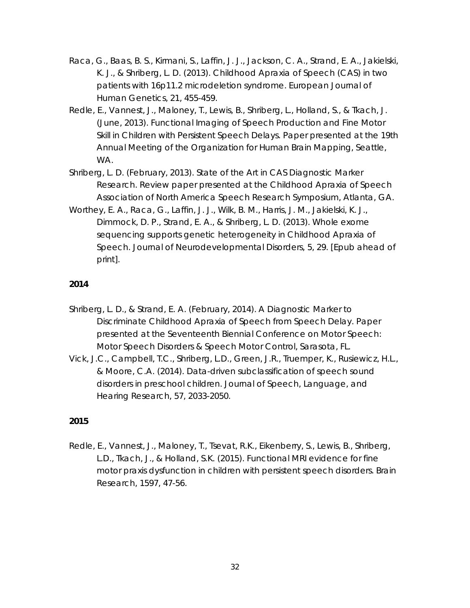- Raca, G., Baas, B. S., Kirmani, S., Laffin, J. J., Jackson, C. A., Strand, E. A., Jakielski, K. J., & Shriberg, L. D. (2013). Childhood Apraxia of Speech (CAS) in two patients with 16p11.2 microdeletion syndrome. *European Journal of Human Genetics*, *21*, 455-459.
- Redle, E., Vannest, J., Maloney, T., Lewis, B., Shriberg, L., Holland, S., & Tkach, J. (June, 2013). Functional Imaging of Speech Production and Fine Motor Skill in Children with Persistent Speech Delays. Paper presented at the 19th Annual Meeting of the Organization for Human Brain Mapping, Seattle, WA.
- Shriberg, L. D. (February, 2013). *State of the Art in CAS Diagnostic Marker Research.* Review paper presented at the Childhood Apraxia of Speech Association of North America Speech Research Symposium, Atlanta, GA.
- Worthey, E. A., Raca, G., Laffin, J. J., Wilk, B. M., Harris, J. M., Jakielski, K. J., Dimmock, D. P., Strand, E. A., & Shriberg, L. D. (2013). Whole exome sequencing supports genetic heterogeneity in Childhood Apraxia of Speech. *Journal of Neurodevelopmental Disorders, 5*, 29. [Epub ahead of print].

- Shriberg, L. D., & Strand, E. A. (February, 2014). *A Diagnostic Marker to Discriminate Childhood Apraxia of Speech from Speech Delay.* Paper presented at the Seventeenth Biennial Conference on Motor Speech: Motor Speech Disorders & Speech Motor Control, Sarasota, FL.
- Vick, J.C., Campbell, T.C., Shriberg, L.D., Green, J.R., Truemper, K., Rusiewicz, H.L., & Moore, C.A. (2014). Data-driven subclassification of speech sound disorders in preschool children. *Journal of Speech, Language, and Hearing Research, 57,* 2033-2050.

# *2015*

Redle, E., Vannest, J., Maloney, T., Tsevat, R.K., Eikenberry, S., Lewis, B., Shriberg, L.D., Tkach, J., & Holland, S.K. (2015). Functional MRI evidence for fine motor praxis dysfunction in children with persistent speech disorders. *Brain Research, 1597,* 47-56.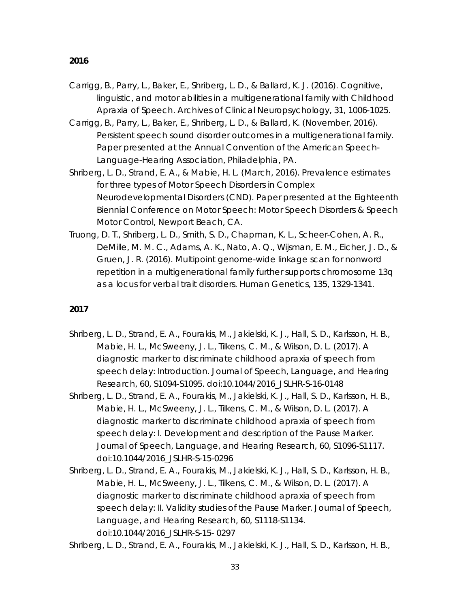- Carrigg, B., Parry, L., Baker, E., Shriberg, L. D., & Ballard, K. J. (2016). Cognitive, linguistic, and motor abilities in a multigenerational family with Childhood Apraxia of Speech. *Archives of Clinical Neuropsychology, 31,* 1006-1025.
- Carrigg, B., Parry, L., Baker, E., Shriberg, L. D., & Ballard, K. (November, 2016). *Persistent speech sound disorder outcomes in a multigenerational family.*  Paper presented at the Annual Convention of the American Speech-Language-Hearing Association, Philadelphia, PA.
- Shriberg, L. D., Strand, E. A., & Mabie, H. L. (March, 2016). *Prevalence estimates for three types of Motor Speech Disorders in Complex Neurodevelopmental Disorders (CND).* Paper presented at the Eighteenth Biennial Conference on Motor Speech: Motor Speech Disorders & Speech Motor Control, Newport Beach, CA.
- Truong, D. T., Shriberg, L. D., Smith, S. D., Chapman, K. L., Scheer-Cohen, A. R., DeMille, M. M. C., Adams, A. K., Nato, A. Q., Wijsman, E. M., Eicher, J. D., & Gruen, J. R. (2016). Multipoint genome-wide linkage scan for nonword repetition in a multigenerational family further supports chromosome 13q as a locus for verbal trait disorders. *Human Genetics, 135*, 1329-1341.

- Shriberg, L. D., Strand, E. A., Fourakis, M., Jakielski, K. J., Hall, S. D., Karlsson, H. B., Mabie, H. L., McSweeny, J. L., Tilkens, C. M., & Wilson, D. L. (2017). A diagnostic marker to discriminate childhood apraxia of speech from speech delay: Introduction. *Journal of Speech, Language, and Hearing Research, 60,* S1094-S1095. doi:10.1044/2016\_JSLHR-S-16-0148
- Shriberg, L. D., Strand, E. A., Fourakis, M., Jakielski, K. J., Hall, S. D., Karlsson, H. B., Mabie, H. L., McSweeny, J. L., Tilkens, C. M., & Wilson, D. L. (2017). A diagnostic marker to discriminate childhood apraxia of speech from speech delay: I. Development and description of the Pause Marker.  *Journal of Speech, Language, and Hearing Research, 60,* S1096-S1117. doi:10.1044/2016\_JSLHR-S-15-0296
- Shriberg, L. D., Strand, E. A., Fourakis, M., Jakielski, K. J., Hall, S. D., Karlsson, H. B., Mabie, H. L., McSweeny, J. L., Tilkens, C. M., & Wilson, D. L. (2017). A diagnostic marker to discriminate childhood apraxia of speech from speech delay: II. Validity studies of the Pause Marker. *Journal of Speech, Language, and Hearing Research, 60,* S1118-S1134. doi:10.1044/2016\_JSLHR-S-15- 0297

Shriberg, L. D., Strand, E. A., Fourakis, M., Jakielski, K. J., Hall, S. D., Karlsson, H. B.,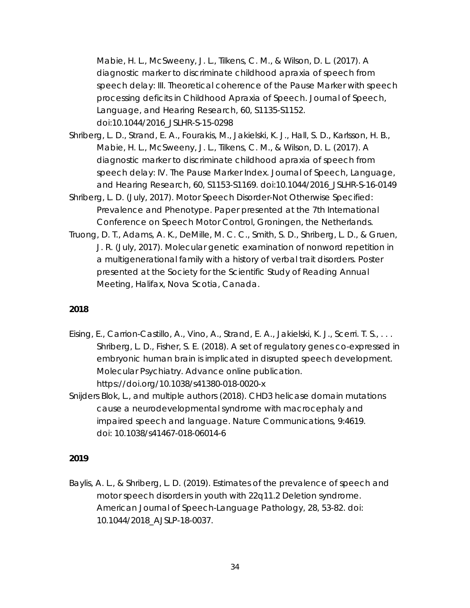Mabie, H. L., McSweeny, J. L., Tilkens, C. M., & Wilson, D. L. (2017). A diagnostic marker to discriminate childhood apraxia of speech from speech delay: III. Theoretical coherence of the Pause Marker with speech processing deficits in Childhood Apraxia of Speech. *Journal of Speech, Language, and Hearing Research, 60,* S1135-S1152. doi:10.1044/2016\_JSLHR-S-15-0298

- Shriberg, L. D., Strand, E. A., Fourakis, M., Jakielski, K. J., Hall, S. D., Karlsson, H. B., Mabie, H. L., McSweeny, J. L., Tilkens, C. M., & Wilson, D. L. (2017). A diagnostic marker to discriminate childhood apraxia of speech from speech delay: IV. The Pause Marker Index. *Journal of Speech, Language, and Hearing Research, 60,* S1153-S1169. doi:10.1044/2016\_JSLHR-S-16-0149
- Shriberg, L. D. (July, 2017). *Motor Speech Disorder-Not Otherwise Specified: Prevalence and Phenotype.* Paper presented at the 7th International Conference on Speech Motor Control, Groningen, the Netherlands.
- Truong, D. T., Adams, A. K., DeMille, M. C. C., Smith, S. D., Shriberg, L. D., & Gruen, J. R. (July, 2017). *Molecular genetic examination of nonword repetition in a multigenerational family with a history of verbal trait disorders.* Poster presented at the Society for the Scientific Study of Reading Annual Meeting, Halifax, Nova Scotia, Canada.

### *2018*

- Eising, E., Carrion-Castillo, A., Vino, A., Strand, E. A., Jakielski, K. J., Scerri. T. S., . . . Shriberg, L. D., Fisher, S. E. (2018). A set of regulatory genes co-expressed in embryonic human brain is implicated in disrupted speech development. *Molecular Psychiatry.* Advance online publication. https://doi.org/10.1038/s41380-018-0020-x
- Snijders Blok, L., and multiple authors (2018). CHD3 helicase domain mutations cause a neurodevelopmental syndrome with macrocephaly and impaired speech and language. *Nature Communications, 9:*4619. doi: 10.1038/s41467-018-06014-6

# *2019*

Baylis, A. L., & Shriberg, L. D. (2019). Estimates of the prevalence of speech and motor speech disorders in youth with 22q11.2 Deletion syndrome. *American Journal of Speech-Language Pathology, 28,* 53-82. doi: 10.1044/2018\_AJSLP-18-0037.